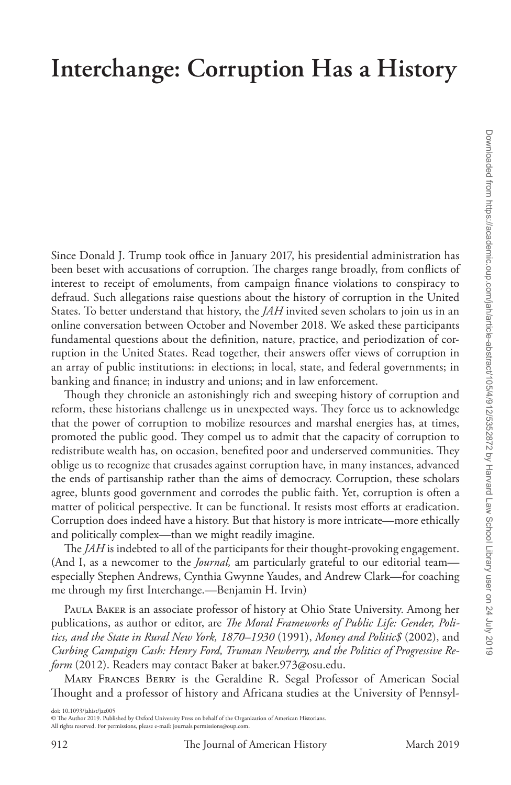# **Interchange: Corruption Has a History**

Since Donald J. Trump took office in January 2017, his presidential administration has been beset with accusations of corruption. The charges range broadly, from conflicts of interest to receipt of emoluments, from campaign finance violations to conspiracy to defraud. Such allegations raise questions about the history of corruption in the United States. To better understand that history, the *JAH* invited seven scholars to join us in an online conversation between October and November 2018. We asked these participants fundamental questions about the definition, nature, practice, and periodization of corruption in the United States. Read together, their answers offer views of corruption in an array of public institutions: in elections; in local, state, and federal governments; in banking and finance; in industry and unions; and in law enforcement.

Though they chronicle an astonishingly rich and sweeping history of corruption and reform, these historians challenge us in unexpected ways. They force us to acknowledge that the power of corruption to mobilize resources and marshal energies has, at times, promoted the public good. They compel us to admit that the capacity of corruption to redistribute wealth has, on occasion, benefited poor and underserved communities. They oblige us to recognize that crusades against corruption have, in many instances, advanced the ends of partisanship rather than the aims of democracy. Corruption, these scholars agree, blunts good government and corrodes the public faith. Yet, corruption is often a matter of political perspective. It can be functional. It resists most efforts at eradication. Corruption does indeed have a history. But that history is more intricate—more ethically and politically complex—than we might readily imagine.

The *JAH* is indebted to all of the participants for their thought-provoking engagement. (And I, as a newcomer to the *Journal,* am particularly grateful to our editorial team especially Stephen Andrews, Cynthia Gwynne Yaudes, and Andrew Clark—for coaching me through my first Interchange.—Benjamin H. Irvin)

PAULA BAKER is an associate professor of history at Ohio State University. Among her publications, as author or editor, are *The Moral Frameworks of Public Life: Gender, Politics, and the State in Rural New York, 1870–1930* (1991), *Money and Politic\$* (2002), and *Curbing Campaign Cash: Henry Ford, Truman Newberry, and the Politics of Progressive Reform* (2012). Readers may contact Baker at baker.973@osu.edu.

Mary Frances Berry is the Geraldine R. Segal Professor of American Social Thought and a professor of history and Africana studies at the University of Pennsyl-

doi: 10.1093/jahist/jaz005 © The Author 2019. Published by Oxford University Press on behalf of the Organization of American Historians.

All rights reserved. For permissions, please e-mail: journals.permissions@oup.com.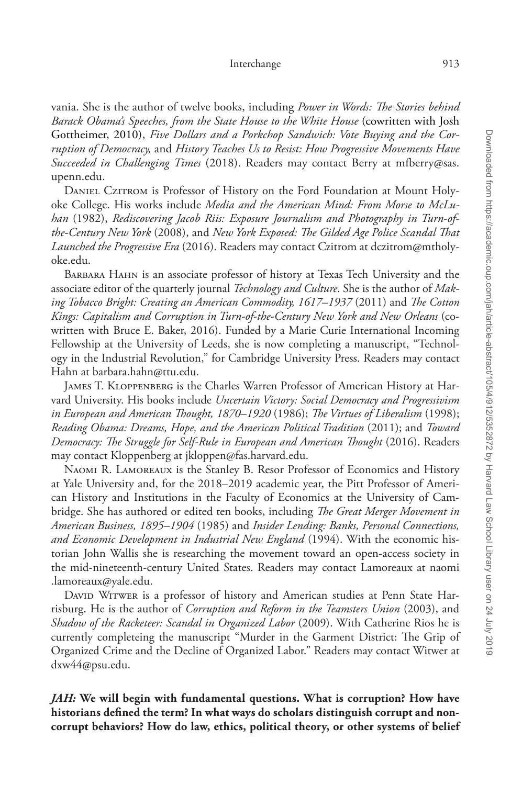vania. She is the author of twelve books, including *Power in Words: The Stories behind Barack Obama's Speeches, from the State House to the White House* (cowritten with Josh Gottheimer, 2010), *Five Dollars and a Porkchop Sandwich: Vote Buying and the Corruption of Democracy,* and *History Teaches Us to Resist: How Progressive Movements Have Succeeded in Challenging Times* (2018). Readers may contact Berry at mfberry@sas. upenn.edu.

Daniel Czitrom is Professor of History on the Ford Foundation at Mount Holyoke College. His works include *Media and the American Mind: From Morse to McLuhan* (1982), *Rediscovering Jacob Riis: Exposure Journalism and Photography in Turn-ofthe-Century New York* (2008), and *New York Exposed: The Gilded Age Police Scandal That Launched the Progressive Era* (2016). Readers may contact Czitrom at dczitrom@mtholyoke.edu.

Barbara Hahn is an associate professor of history at Texas Tech University and the associate editor of the quarterly journal *Technology and Culture*. She is the author of *Making Tobacco Bright: Creating an American Commodity, 1617–1937* (2011) and *The Cotton Kings: Capitalism and Corruption in Turn-of-the-Century New York and New Orleans* (cowritten with Bruce E. Baker, 2016). Funded by a Marie Curie International Incoming Fellowship at the University of Leeds, she is now completing a manuscript, "Technology in the Industrial Revolution," for Cambridge University Press. Readers may contact Hahn at barbara.hahn@ttu.edu.

James T. Kloppenberg is the Charles Warren Professor of American History at Harvard University. His books include *Uncertain Victory: Social Democracy and Progressivism in European and American Thought, 1870–1920* (1986); *The Virtues of Liberalism* (1998); *Reading Obama: Dreams, Hope, and the American Political Tradition* (2011); and *Toward Democracy: The Struggle for Self-Rule in European and American Thought* (2016). Readers may contact Kloppenberg at jkloppen@fas.harvard.edu.

Naomi R. Lamoreaux is the Stanley B. Resor Professor of Economics and History at Yale University and, for the 2018–2019 academic year, the Pitt Professor of American History and Institutions in the Faculty of Economics at the University of Cambridge. She has authored or edited ten books, including *The Great Merger Movement in American Business, 1895–1904* (1985) and *Insider Lending: Banks, Personal Connections, and Economic Development in Industrial New England* (1994). With the economic historian John Wallis she is researching the movement toward an open-access society in the mid-nineteenth-century United States. Readers may contact Lamoreaux at naomi .lamoreaux@yale.edu.

DAVID WITWER is a professor of history and American studies at Penn State Harrisburg. He is the author of *Corruption and Reform in the Teamsters Union* (2003), and *Shadow of the Racketeer: Scandal in Organized Labor* (2009). With Catherine Rios he is currently completeing the manuscript "Murder in the Garment District: The Grip of Organized Crime and the Decline of Organized Labor." Readers may contact Witwer at dxw44@psu.edu.

*JAH:* **We will begin with fundamental questions. What is corruption? How have historians defined the term? In what ways do scholars distinguish corrupt and noncorrupt behaviors? How do law, ethics, political theory, or other systems of belief**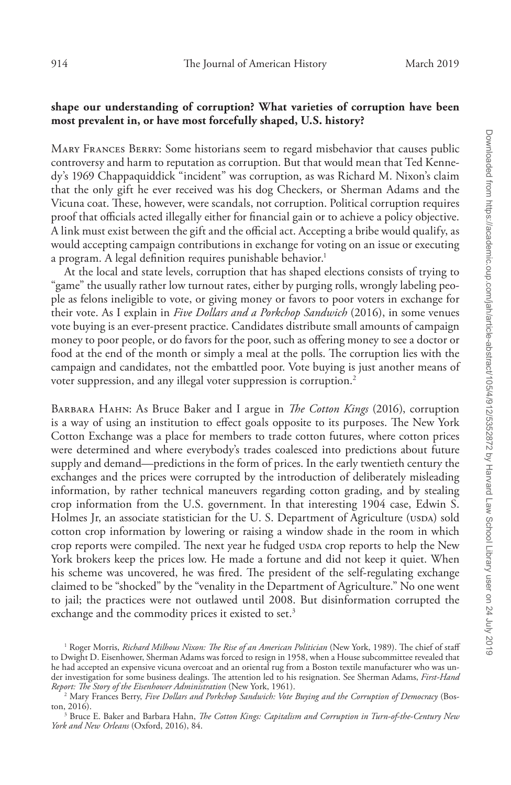## **shape our understanding of corruption? What varieties of corruption have been most prevalent in, or have most forcefully shaped, U.S. history?**

Mary Frances Berry: Some historians seem to regard misbehavior that causes public controversy and harm to reputation as corruption. But that would mean that Ted Kennedy's 1969 Chappaquiddick "incident" was corruption, as was Richard M. Nixon's claim that the only gift he ever received was his dog Checkers, or Sherman Adams and the Vicuna coat. These, however, were scandals, not corruption. Political corruption requires proof that officials acted illegally either for financial gain or to achieve a policy objective. A link must exist between the gift and the official act. Accepting a bribe would qualify, as would accepting campaign contributions in exchange for voting on an issue or executing a program. A legal definition requires punishable behavior.<sup>1</sup>

At the local and state levels, corruption that has shaped elections consists of trying to "game" the usually rather low turnout rates, either by purging rolls, wrongly labeling people as felons ineligible to vote, or giving money or favors to poor voters in exchange for their vote. As I explain in *Five Dollars and a Porkchop Sandwich* (2016), in some venues vote buying is an ever-present practice. Candidates distribute small amounts of campaign money to poor people, or do favors for the poor, such as offering money to see a doctor or food at the end of the month or simply a meal at the polls. The corruption lies with the campaign and candidates, not the embattled poor. Vote buying is just another means of voter suppression, and any illegal voter suppression is corruption.<sup>2</sup>

Barbara Hahn: As Bruce Baker and I argue in *The Cotton Kings* (2016), corruption is a way of using an institution to effect goals opposite to its purposes. The New York Cotton Exchange was a place for members to trade cotton futures, where cotton prices were determined and where everybody's trades coalesced into predictions about future supply and demand—predictions in the form of prices. In the early twentieth century the exchanges and the prices were corrupted by the introduction of deliberately misleading information, by rather technical maneuvers regarding cotton grading, and by stealing crop information from the U.S. government. In that interesting 1904 case, Edwin S. Holmes Jr, an associate statistician for the U.S. Department of Agriculture (USDA) sold cotton crop information by lowering or raising a window shade in the room in which crop reports were compiled. The next year he fudged uspa crop reports to help the New York brokers keep the prices low. He made a fortune and did not keep it quiet. When his scheme was uncovered, he was fired. The president of the self-regulating exchange claimed to be "shocked" by the "venality in the Department of Agriculture." No one went to jail; the practices were not outlawed until 2008. But disinformation corrupted the exchange and the commodity prices it existed to set.<sup>3</sup>

<sup>&</sup>lt;sup>1</sup> Roger Morris, *Richard Milhous Nixon: The Rise of an American Politician* (New York, 1989). The chief of staff to Dwight D. Eisenhower, Sherman Adams was forced to resign in 1958, when a House subcommittee revealed that he had accepted an expensive vicuna overcoat and an oriental rug from a Boston textile manufacturer who was under investigation for some business dealings. The attention led to his resignation. See Sherman Adams, *First-Hand Report: The Story of the Eisenhower Administration* (New York, 1961). 2

Mary Frances Berry, *Five Dollars and Porkchop Sandwich: Vote Buying and the Corruption of Democracy* (Boston, 2016).

Bruce E. Baker and Barbara Hahn, *The Cotton Kings: Capitalism and Corruption in Turn-of-the-Century New York and New Orleans* (Oxford, 2016), 84.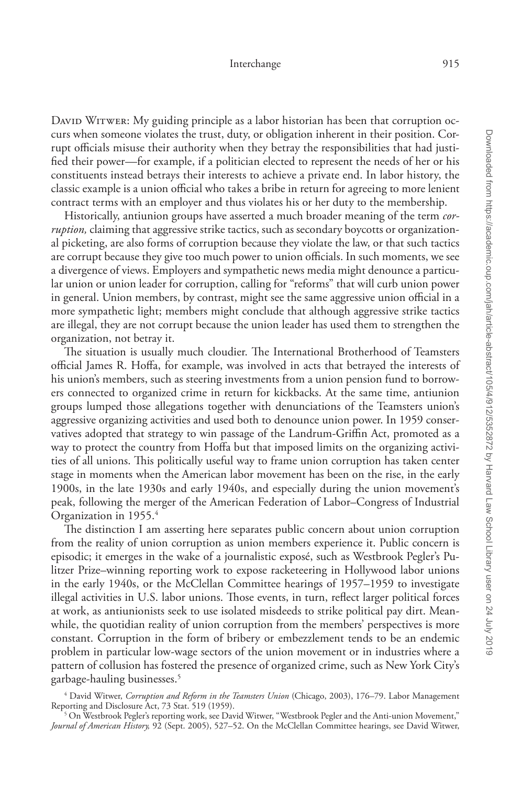DAVID WITWER: My guiding principle as a labor historian has been that corruption occurs when someone violates the trust, duty, or obligation inherent in their position. Corrupt officials misuse their authority when they betray the responsibilities that had justified their power—for example, if a politician elected to represent the needs of her or his constituents instead betrays their interests to achieve a private end. In labor history, the classic example is a union official who takes a bribe in return for agreeing to more lenient contract terms with an employer and thus violates his or her duty to the membership.

Historically, antiunion groups have asserted a much broader meaning of the term *corruption,* claiming that aggressive strike tactics, such as secondary boycotts or organizational picketing, are also forms of corruption because they violate the law, or that such tactics are corrupt because they give too much power to union officials. In such moments, we see a divergence of views. Employers and sympathetic news media might denounce a particular union or union leader for corruption, calling for "reforms" that will curb union power in general. Union members, by contrast, might see the same aggressive union official in a more sympathetic light; members might conclude that although aggressive strike tactics are illegal, they are not corrupt because the union leader has used them to strengthen the organization, not betray it.

The situation is usually much cloudier. The International Brotherhood of Teamsters official James R. Hoffa, for example, was involved in acts that betrayed the interests of his union's members, such as steering investments from a union pension fund to borrowers connected to organized crime in return for kickbacks. At the same time, antiunion groups lumped those allegations together with denunciations of the Teamsters union's aggressive organizing activities and used both to denounce union power. In 1959 conservatives adopted that strategy to win passage of the Landrum-Griffin Act, promoted as a way to protect the country from Hoffa but that imposed limits on the organizing activities of all unions. This politically useful way to frame union corruption has taken center stage in moments when the American labor movement has been on the rise, in the early 1900s, in the late 1930s and early 1940s, and especially during the union movement's peak, following the merger of the American Federation of Labor–Congress of Industrial Organization in 1955.4

The distinction I am asserting here separates public concern about union corruption from the reality of union corruption as union members experience it. Public concern is episodic; it emerges in the wake of a journalistic exposé, such as Westbrook Pegler's Pulitzer Prize–winning reporting work to expose racketeering in Hollywood labor unions in the early 1940s, or the McClellan Committee hearings of 1957–1959 to investigate illegal activities in U.S. labor unions. Those events, in turn, reflect larger political forces at work, as antiunionists seek to use isolated misdeeds to strike political pay dirt. Meanwhile, the quotidian reality of union corruption from the members' perspectives is more constant. Corruption in the form of bribery or embezzlement tends to be an endemic problem in particular low-wage sectors of the union movement or in industries where a pattern of collusion has fostered the presence of organized crime, such as New York City's garbage-hauling businesses.5

<sup>4</sup> David Witwer, *Corruption and Reform in the Teamsters Union* (Chicago, 2003), 176–79. Labor Management Reporting and Disclosure Act, 73 Stat. 519 (1959).

<sup>&</sup>lt;sup>5</sup> On Westbrook Pegler's reporting work, see David Witwer, "Westbrook Pegler and the Anti-union Movement," *Journal of American History,* 92 (Sept. 2005), 527–52. On the McClellan Committee hearings, see David Witwer,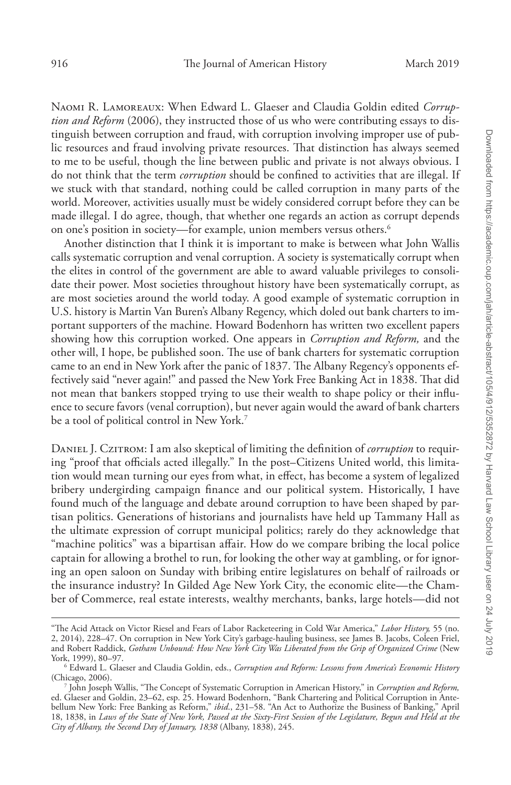Naomi R. Lamoreaux: When Edward L. Glaeser and Claudia Goldin edited *Corruption and Reform* (2006), they instructed those of us who were contributing essays to distinguish between corruption and fraud, with corruption involving improper use of public resources and fraud involving private resources. That distinction has always seemed to me to be useful, though the line between public and private is not always obvious. I do not think that the term *corruption* should be confined to activities that are illegal. If we stuck with that standard, nothing could be called corruption in many parts of the world. Moreover, activities usually must be widely considered corrupt before they can be made illegal. I do agree, though, that whether one regards an action as corrupt depends on one's position in society—for example, union members versus others.<sup>6</sup>

Another distinction that I think it is important to make is between what John Wallis calls systematic corruption and venal corruption. A society is systematically corrupt when the elites in control of the government are able to award valuable privileges to consolidate their power. Most societies throughout history have been systematically corrupt, as are most societies around the world today. A good example of systematic corruption in U.S. history is Martin Van Buren's Albany Regency, which doled out bank charters to important supporters of the machine. Howard Bodenhorn has written two excellent papers showing how this corruption worked. One appears in *Corruption and Reform,* and the other will, I hope, be published soon. The use of bank charters for systematic corruption came to an end in New York after the panic of 1837. The Albany Regency's opponents effectively said "never again!" and passed the New York Free Banking Act in 1838. That did not mean that bankers stopped trying to use their wealth to shape policy or their influence to secure favors (venal corruption), but never again would the award of bank charters be a tool of political control in New York.<sup>7</sup>

DANIEL J. CZITROM: I am also skeptical of limiting the definition of *corruption* to requiring "proof that officials acted illegally." In the post–Citizens United world, this limitation would mean turning our eyes from what, in effect, has become a system of legalized bribery undergirding campaign finance and our political system. Historically, I have found much of the language and debate around corruption to have been shaped by partisan politics. Generations of historians and journalists have held up Tammany Hall as the ultimate expression of corrupt municipal politics; rarely do they acknowledge that "machine politics" was a bipartisan affair. How do we compare bribing the local police captain for allowing a brothel to run, for looking the other way at gambling, or for ignoring an open saloon on Sunday with bribing entire legislatures on behalf of railroads or the insurance industry? In Gilded Age New York City, the economic elite—the Chamber of Commerce, real estate interests, wealthy merchants, banks, large hotels—did not

<sup>&</sup>quot;The Acid Attack on Victor Riesel and Fears of Labor Racketeering in Cold War America," *Labor History,* 55 (no. 2, 2014), 228–47. On corruption in New York City's garbage-hauling business, see James B. Jacobs, Coleen Friel, and Robert Raddick, *Gotham Unbound: How New York City Was Liberated from the Grip of Organized Crime* (New York, 1999), 80-97.

Edward L. Glaeser and Claudia Goldin, eds., *Corruption and Reform: Lessons from America's Economic History* (Chicago, 2006).

<sup>7</sup> John Joseph Wallis, "The Concept of Systematic Corruption in American History," in *Corruption and Reform,* ed. Glaeser and Goldin, 23–62, esp. 25. Howard Bodenhorn, "Bank Chartering and Political Corruption in Antebellum New York: Free Banking as Reform," *ibid*., 231–58. "An Act to Authorize the Business of Banking," April 18, 1838, in *Laws of the State of New York, Passed at the Sixty-First Session of the Legislature, Begun and Held at the City of Albany, the Second Day of January, 1838* (Albany, 1838), 245.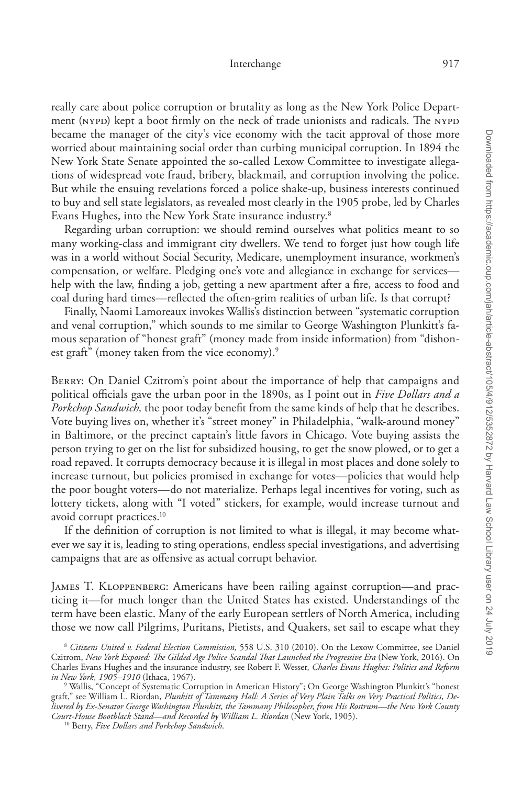really care about police corruption or brutality as long as the New York Police Department (NYPD) kept a boot firmly on the neck of trade unionists and radicals. The NYPD became the manager of the city's vice economy with the tacit approval of those more worried about maintaining social order than curbing municipal corruption. In 1894 the New York State Senate appointed the so-called Lexow Committee to investigate allegations of widespread vote fraud, bribery, blackmail, and corruption involving the police. But while the ensuing revelations forced a police shake-up, business interests continued to buy and sell state legislators, as revealed most clearly in the 1905 probe, led by Charles Evans Hughes, into the New York State insurance industry.8

Regarding urban corruption: we should remind ourselves what politics meant to so many working-class and immigrant city dwellers. We tend to forget just how tough life was in a world without Social Security, Medicare, unemployment insurance, workmen's compensation, or welfare. Pledging one's vote and allegiance in exchange for services help with the law, finding a job, getting a new apartment after a fire, access to food and coal during hard times—reflected the often-grim realities of urban life. Is that corrupt?

Finally, Naomi Lamoreaux invokes Wallis's distinction between "systematic corruption and venal corruption," which sounds to me similar to George Washington Plunkitt's famous separation of "honest graft" (money made from inside information) from "dishonest graft" (money taken from the vice economy).<sup>9</sup>

Berry: On Daniel Czitrom's point about the importance of help that campaigns and political officials gave the urban poor in the 1890s, as I point out in *Five Dollars and a Porkchop Sandwich,* the poor today benefit from the same kinds of help that he describes. Vote buying lives on, whether it's "street money" in Philadelphia, "walk-around money" in Baltimore, or the precinct captain's little favors in Chicago. Vote buying assists the person trying to get on the list for subsidized housing, to get the snow plowed, or to get a road repaved. It corrupts democracy because it is illegal in most places and done solely to increase turnout, but policies promised in exchange for votes—policies that would help the poor bought voters—do not materialize. Perhaps legal incentives for voting, such as lottery tickets, along with "I voted" stickers, for example, would increase turnout and avoid corrupt practices.10

If the definition of corruption is not limited to what is illegal, it may become whatever we say it is, leading to sting operations, endless special investigations, and advertising campaigns that are as offensive as actual corrupt behavior.

James T. Kloppenberg: Americans have been railing against corruption—and practicing it—for much longer than the United States has existed. Understandings of the term have been elastic. Many of the early European settlers of North America, including those we now call Pilgrims, Puritans, Pietists, and Quakers, set sail to escape what they

<sup>8</sup> *Citizens United v. Federal Election Commission,* 558 U.S. 310 (2010). On the Lexow Committee, see Daniel Czitrom, *New York Exposed: The Gilded Age Police Scandal That Launched the Progressive Era* (New York, 2016). On Charles Evans Hughes and the insurance industry, see Robert F. Wesser, *Charles Evans Hughes: Politics and Reform in New York, 1905–1910* (Ithaca, 1967).

Wallis, "Concept of Systematic Corruption in American History"; On George Washington Plunkitt's "honest" graft," see William L. Riordan, *Plunkitt of Tammany Hall: A Series of Very Plain Talks on Very Practical Politics, Delivered by Ex-Senator George Washington Plunkitt, the Tammany Philosopher, from His Rostrum—the New York County Court-House Bootblack Stand—and Recorded by William L. Riordan* (New York, 1905). 10 Berry, *Five Dollars and Porkchop Sandwich*.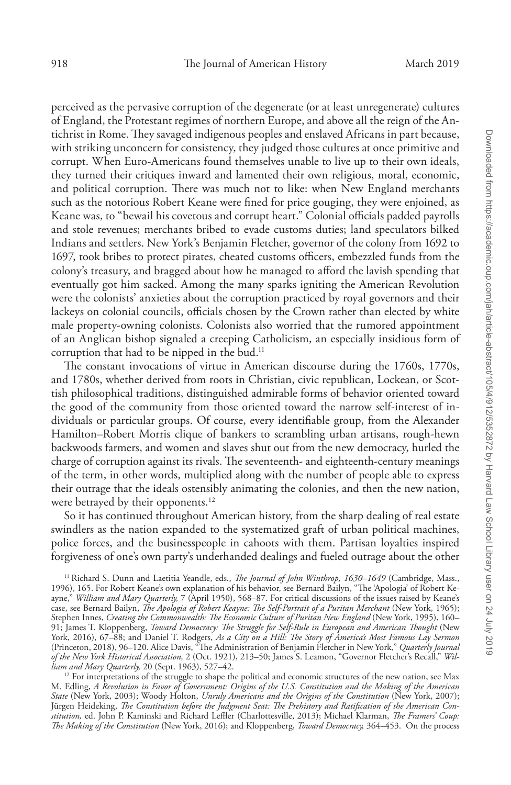perceived as the pervasive corruption of the degenerate (or at least unregenerate) cultures of England, the Protestant regimes of northern Europe, and above all the reign of the Antichrist in Rome. They savaged indigenous peoples and enslaved Africans in part because, with striking unconcern for consistency, they judged those cultures at once primitive and corrupt. When Euro-Americans found themselves unable to live up to their own ideals, they turned their critiques inward and lamented their own religious, moral, economic, and political corruption. There was much not to like: when New England merchants such as the notorious Robert Keane were fined for price gouging, they were enjoined, as Keane was, to "bewail his covetous and corrupt heart." Colonial officials padded payrolls and stole revenues; merchants bribed to evade customs duties; land speculators bilked Indians and settlers. New York's Benjamin Fletcher, governor of the colony from 1692 to 1697, took bribes to protect pirates, cheated customs officers, embezzled funds from the colony's treasury, and bragged about how he managed to afford the lavish spending that eventually got him sacked. Among the many sparks igniting the American Revolution were the colonists' anxieties about the corruption practiced by royal governors and their lackeys on colonial councils, officials chosen by the Crown rather than elected by white male property-owning colonists. Colonists also worried that the rumored appointment of an Anglican bishop signaled a creeping Catholicism, an especially insidious form of corruption that had to be nipped in the bud.<sup>11</sup>

The constant invocations of virtue in American discourse during the 1760s, 1770s, and 1780s, whether derived from roots in Christian, civic republican, Lockean, or Scottish philosophical traditions, distinguished admirable forms of behavior oriented toward the good of the community from those oriented toward the narrow self-interest of individuals or particular groups. Of course, every identifiable group, from the Alexander Hamilton–Robert Morris clique of bankers to scrambling urban artisans, rough-hewn backwoods farmers, and women and slaves shut out from the new democracy, hurled the charge of corruption against its rivals. The seventeenth- and eighteenth-century meanings of the term, in other words, multiplied along with the number of people able to express their outrage that the ideals ostensibly animating the colonies, and then the new nation, were betrayed by their opponents.<sup>12</sup>

So it has continued throughout American history, from the sharp dealing of real estate swindlers as the nation expanded to the systematized graft of urban political machines, police forces, and the businesspeople in cahoots with them. Partisan loyalties inspired forgiveness of one's own party's underhanded dealings and fueled outrage about the other

<sup>11</sup> Richard S. Dunn and Laetitia Yeandle, eds., *The Journal of John Winthrop*, 1630-1649 (Cambridge, Mass., 1996), 165. For Robert Keane's own explanation of his behavior, see Bernard Bailyn, "The 'Apologia' of Robert Keayne," *William and Mary Quarterly,* 7 (April 1950), 568–87. For critical discussions of the issues raised by Keane's case, see Bernard Bailyn, *The Apologia of Robert Keayne: The Self-Portrait of a Puritan Merchant* (New York, 1965); Stephen Innes, *Creating the Commonwealth: The Economic Culture of Puritan New England* (New York, 1995), 160– 91; James T. Kloppenberg, *Toward Democracy: The Struggle for Self-Rule in European and American Thought* (New York, 2016), 67–88; and Daniel T. Rodgers, *As a City on a Hill: The Story of America's Most Famous Lay Sermon* (Princeton, 2018), 96–120. Alice Davis, "The Administration of Benjamin Fletcher in New York," *Quarterly Journal of the New York Historical Association,* 2 (Oct. 1921), 213–50; James S. Leamon, "Governor Fletcher's Recall," *Wil-*

<sup>12</sup> For interpretations of the struggle to shape the political and economic structures of the new nation, see Max M. Edling, *A Revolution in Favor of Government: Origins of the U.S. Constitution and the Making of the American State* (New York, 2003); Woody Holton, *Unruly Americans and the Origins of the Constitution* (New York, 2007); Jürgen Heideking, *The Constitution before the Judgment Seat: The Prehistory and Ratification of the American Constitution,* ed. John P. Kaminski and Richard Leffler (Charlottesville, 2013); Michael Klarman, *The Framers' Coup: The Making of the Constitution* (New York, 2016); and Kloppenberg, *Toward Democracy,* 364–453. On the process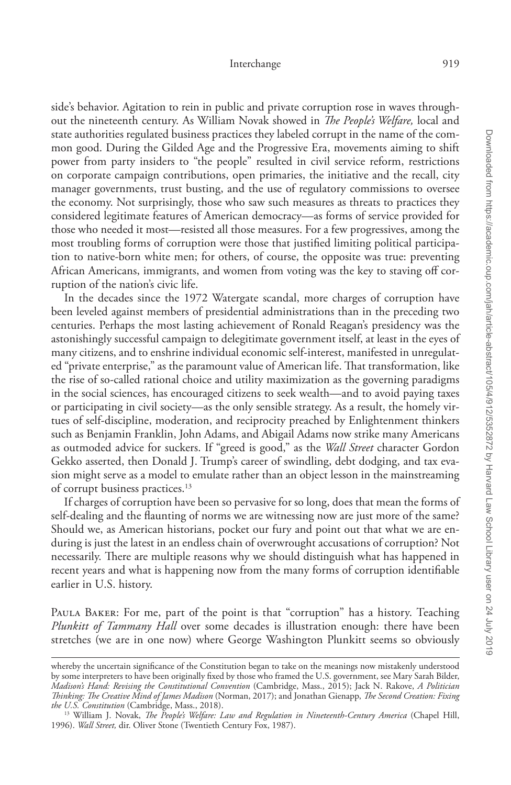side's behavior. Agitation to rein in public and private corruption rose in waves throughout the nineteenth century. As William Novak showed in *The People's Welfare,* local and state authorities regulated business practices they labeled corrupt in the name of the common good. During the Gilded Age and the Progressive Era, movements aiming to shift power from party insiders to "the people" resulted in civil service reform, restrictions on corporate campaign contributions, open primaries, the initiative and the recall, city manager governments, trust busting, and the use of regulatory commissions to oversee the economy. Not surprisingly, those who saw such measures as threats to practices they considered legitimate features of American democracy—as forms of service provided for those who needed it most—resisted all those measures. For a few progressives, among the most troubling forms of corruption were those that justified limiting political participation to native-born white men; for others, of course, the opposite was true: preventing African Americans, immigrants, and women from voting was the key to staving off corruption of the nation's civic life.

In the decades since the 1972 Watergate scandal, more charges of corruption have been leveled against members of presidential administrations than in the preceding two centuries. Perhaps the most lasting achievement of Ronald Reagan's presidency was the astonishingly successful campaign to delegitimate government itself, at least in the eyes of many citizens, and to enshrine individual economic self-interest, manifested in unregulated "private enterprise," as the paramount value of American life. That transformation, like the rise of so-called rational choice and utility maximization as the governing paradigms in the social sciences, has encouraged citizens to seek wealth—and to avoid paying taxes or participating in civil society—as the only sensible strategy. As a result, the homely virtues of self-discipline, moderation, and reciprocity preached by Enlightenment thinkers such as Benjamin Franklin, John Adams, and Abigail Adams now strike many Americans as outmoded advice for suckers. If "greed is good," as the *Wall Street* character Gordon Gekko asserted, then Donald J. Trump's career of swindling, debt dodging, and tax evasion might serve as a model to emulate rather than an object lesson in the mainstreaming of corrupt business practices.<sup>13</sup>

If charges of corruption have been so pervasive for so long, does that mean the forms of self-dealing and the flaunting of norms we are witnessing now are just more of the same? Should we, as American historians, pocket our fury and point out that what we are enduring is just the latest in an endless chain of overwrought accusations of corruption? Not necessarily. There are multiple reasons why we should distinguish what has happened in recent years and what is happening now from the many forms of corruption identifiable earlier in U.S. history.

PAULA BAKER: For me, part of the point is that "corruption" has a history. Teaching *Plunkitt of Tammany Hall* over some decades is illustration enough: there have been stretches (we are in one now) where George Washington Plunkitt seems so obviously

whereby the uncertain significance of the Constitution began to take on the meanings now mistakenly understood by some interpreters to have been originally fixed by those who framed the U.S. government, see Mary Sarah Bilder, *Madison's Hand: Revising the Constitutional Convention* (Cambridge, Mass., 2015); Jack N. Rakove, *A Politician Thinking: The Creative Mind of James Madison* (Norman, 2017); and Jonathan Gienapp, *The Second Creation: Fixing the U.S. Constitution* (Cambridge, Mass., 2018). 13 William J. Novak, *The People's Welfare: Law and Regulation in Nineteenth-Century America* (Chapel Hill,

<sup>1996).</sup> *Wall Street,* dir. Oliver Stone (Twentieth Century Fox, 1987).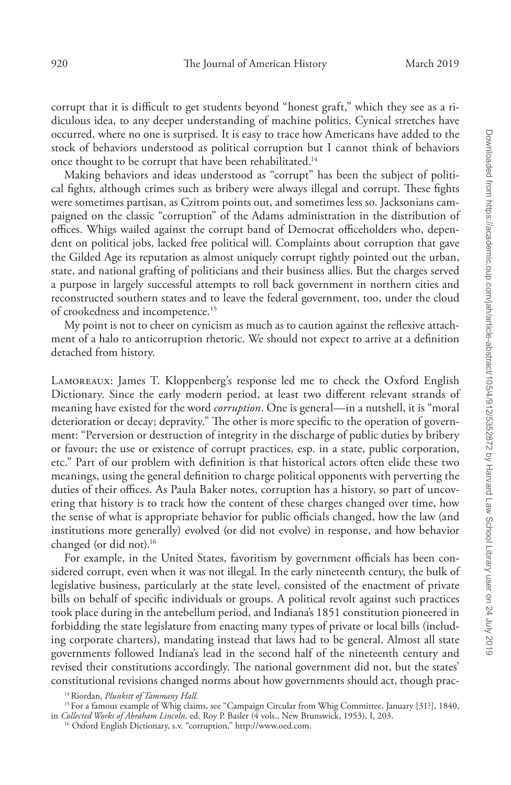corrupt that it is difficult to get students beyond "honest graft," which they see as a ridiculous idea, to any deeper understanding of machine politics. Cynical stretches have occurred, where no one is surprised. It is easy to trace how Americans have added to the stock of behaviors understood as political corruption but I cannot think of behaviors once thought to be corrupt that have been rehabilitated.<sup>14</sup>

Making behaviors and ideas understood as "corrupt" has been the subject of political fights, although crimes such as bribery were always illegal and corrupt. These fights were sometimes partisan, as Czitrom points out, and sometimes less so. Jacksonians campaigned on the classic "corruption" of the Adams administration in the distribution of offices. Whigs wailed against the corrupt band of Democrat officeholders who, dependent on political jobs, lacked free political will. Complaints about corruption that gave the Gilded Age its reputation as almost uniquely corrupt rightly pointed out the urban, state, and national grafting of politicians and their business allies. But the charges served a purpose in largely successful attempts to roll back government in northern cities and reconstructed southern states and to leave the federal government, too, under the cloud of crookedness and incompetence.15

My point is not to cheer on cynicism as much as to caution against the reflexive attachment of a halo to anticorruption rhetoric. We should not expect to arrive at a definition detached from history.

Lamoreaux: James T. Kloppenberg's response led me to check the Oxford English Dictionary. Since the early modern period, at least two different relevant strands of meaning have existed for the word *corruption*. One is general—in a nutshell, it is "moral deterioration or decay; depravity." The other is more specific to the operation of government: "Perversion or destruction of integrity in the discharge of public duties by bribery or favour; the use or existence of corrupt practices, esp. in a state, public corporation, etc." Part of our problem with definition is that historical actors often elide these two meanings, using the general definition to charge political opponents with perverting the duties of their offices. As Paula Baker notes, corruption has a history, so part of uncovering that history is to track how the content of these charges changed over time, how the sense of what is appropriate behavior for public officials changed, how the law (and institutions more generally) evolved (or did not evolve) in response, and how behavior changed (or did not).<sup>16</sup>

For example, in the United States, favoritism by government officials has been considered corrupt, even when it was not illegal. In the early nineteenth century, the bulk of legislative business, particularly at the state level, consisted of the enactment of private bills on behalf of specific individuals or groups. A political revolt against such practices took place during in the antebellum period, and Indiana's 1851 constitution pioneered in forbidding the state legislature from enacting many types of private or local bills (including corporate charters), mandating instead that laws had to be general. Almost all state governments followed Indiana's lead in the second half of the nineteenth century and revised their constitutions accordingly. The national government did not, but the states' constitutional revisions changed norms about how governments should act, though prac-

<sup>14</sup> Riordan, *Plunkitt of Tammany Hall.*<br><sup>15</sup> For a famous example of Whig claims, see "Campaign Circular from Whig Committee, January [31?], 1840, in *Collected Works of Abraham Lincoln,* ed. Roy P. Basler (4 vols., New Brunswick, 1953), I, 203. 16 Oxford English Dictionary, s.v. "corruption," http://www.oed.com.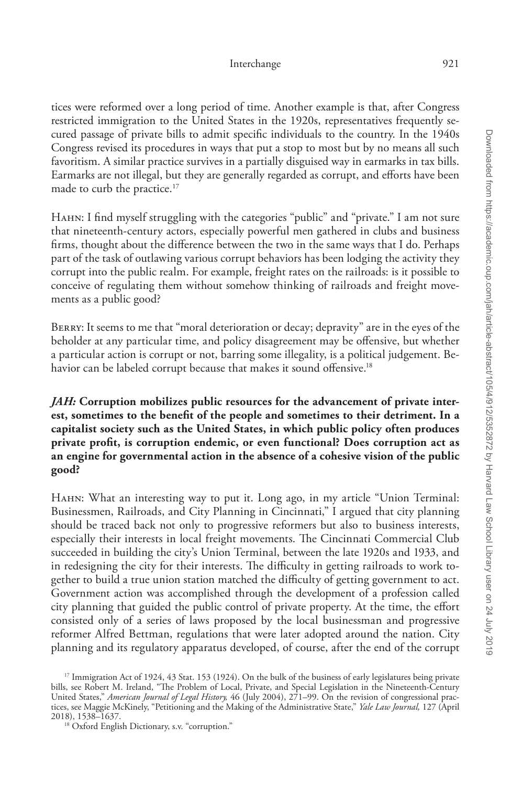tices were reformed over a long period of time. Another example is that, after Congress restricted immigration to the United States in the 1920s, representatives frequently secured passage of private bills to admit specific individuals to the country. In the 1940s Congress revised its procedures in ways that put a stop to most but by no means all such favoritism. A similar practice survives in a partially disguised way in earmarks in tax bills. Earmarks are not illegal, but they are generally regarded as corrupt, and efforts have been made to curb the practice.<sup>17</sup>

Hahn: I find myself struggling with the categories "public" and "private." I am not sure that nineteenth-century actors, especially powerful men gathered in clubs and business firms, thought about the difference between the two in the same ways that I do. Perhaps part of the task of outlawing various corrupt behaviors has been lodging the activity they corrupt into the public realm. For example, freight rates on the railroads: is it possible to conceive of regulating them without somehow thinking of railroads and freight movements as a public good?

Berry: It seems to me that "moral deterioration or decay; depravity" are in the eyes of the beholder at any particular time, and policy disagreement may be offensive, but whether a particular action is corrupt or not, barring some illegality, is a political judgement. Behavior can be labeled corrupt because that makes it sound offensive.<sup>18</sup>

# *JAH:* **Corruption mobilizes public resources for the advancement of private interest, sometimes to the benefit of the people and sometimes to their detriment. In a capitalist society such as the United States, in which public policy often produces private profit, is corruption endemic, or even functional? Does corruption act as an engine for governmental action in the absence of a cohesive vision of the public good?**

Hahn: What an interesting way to put it. Long ago, in my article "Union Terminal: Businessmen, Railroads, and City Planning in Cincinnati," I argued that city planning should be traced back not only to progressive reformers but also to business interests, especially their interests in local freight movements. The Cincinnati Commercial Club succeeded in building the city's Union Terminal, between the late 1920s and 1933, and in redesigning the city for their interests. The difficulty in getting railroads to work together to build a true union station matched the difficulty of getting government to act. Government action was accomplished through the development of a profession called city planning that guided the public control of private property. At the time, the effort consisted only of a series of laws proposed by the local businessman and progressive reformer Alfred Bettman, regulations that were later adopted around the nation. City planning and its regulatory apparatus developed, of course, after the end of the corrupt

<sup>&</sup>lt;sup>17</sup> Immigration Act of 1924, 43 Stat. 153 (1924). On the bulk of the business of early legislatures being private bills, see Robert M. Ireland, "The Problem of Local, Private, and Special Legislation in the Nineteenth-Century United States," *American Journal of Legal History,* 46 (July 2004), 271–99. On the revision of congressional practices, see Maggie McKinely, "Petitioning and the Making of the Administrative State," *Yale Law Journal,* 127 (April

<sup>&</sup>lt;sup>18</sup> Oxford English Dictionary, s.v. "corruption."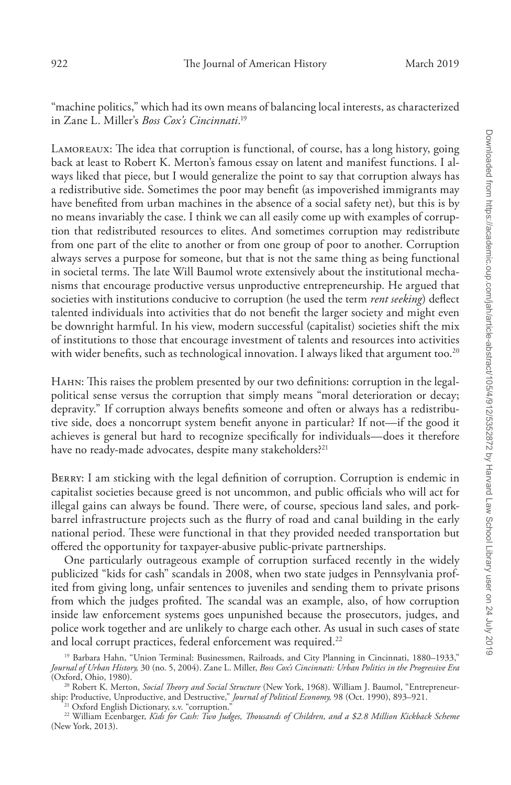"machine politics," which had its own means of balancing local interests, as characterized in Zane L. Miller's *Boss Cox's Cincinnati*. 19

LAMOREAUX: The idea that corruption is functional, of course, has a long history, going back at least to Robert K. Merton's famous essay on latent and manifest functions. I always liked that piece, but I would generalize the point to say that corruption always has a redistributive side. Sometimes the poor may benefit (as impoverished immigrants may have benefited from urban machines in the absence of a social safety net), but this is by no means invariably the case. I think we can all easily come up with examples of corruption that redistributed resources to elites. And sometimes corruption may redistribute from one part of the elite to another or from one group of poor to another. Corruption always serves a purpose for someone, but that is not the same thing as being functional in societal terms. The late Will Baumol wrote extensively about the institutional mechanisms that encourage productive versus unproductive entrepreneurship. He argued that societies with institutions conducive to corruption (he used the term *rent seeking*) deflect talented individuals into activities that do not benefit the larger society and might even be downright harmful. In his view, modern successful (capitalist) societies shift the mix of institutions to those that encourage investment of talents and resources into activities with wider benefits, such as technological innovation. I always liked that argument too.<sup>20</sup>

HAHN: This raises the problem presented by our two definitions: corruption in the legalpolitical sense versus the corruption that simply means "moral deterioration or decay; depravity." If corruption always benefits someone and often or always has a redistributive side, does a noncorrupt system benefit anyone in particular? If not—if the good it achieves is general but hard to recognize specifically for individuals—does it therefore have no ready-made advocates, despite many stakeholders?<sup>21</sup>

Berry: I am sticking with the legal definition of corruption. Corruption is endemic in capitalist societies because greed is not uncommon, and public officials who will act for illegal gains can always be found. There were, of course, specious land sales, and porkbarrel infrastructure projects such as the flurry of road and canal building in the early national period. These were functional in that they provided needed transportation but offered the opportunity for taxpayer-abusive public-private partnerships.

One particularly outrageous example of corruption surfaced recently in the widely publicized "kids for cash" scandals in 2008, when two state judges in Pennsylvania profited from giving long, unfair sentences to juveniles and sending them to private prisons from which the judges profited. The scandal was an example, also, of how corruption inside law enforcement systems goes unpunished because the prosecutors, judges, and police work together and are unlikely to charge each other. As usual in such cases of state and local corrupt practices, federal enforcement was required.<sup>22</sup>

20 Robert K. Merton, *Social Theory and Social Structure* (New York, 1968). William J. Baumol, "Entrepreneurship: Productive, Unproductive, and Destructive," *Journal of Political Economy,* 98 (Oct. 1990), 893–921.

<sup>21</sup> Oxford English Dictionary, s.v. "corruption."

22 William Ecenbarger, *Kids for Cash: Two Judges, Thousands of Children, and a \$2.8 Million Kickback Scheme* (New York, 2013).

<sup>19</sup> Barbara Hahn, "Union Terminal: Businessmen, Railroads, and City Planning in Cincinnati, 1880–1933," *Journal of Urban History,* 30 (no. 5, 2004). Zane L. Miller, *Boss Cox's Cincinnati: Urban Politics in the Progressive Era*  (Oxford, Ohio, 1980).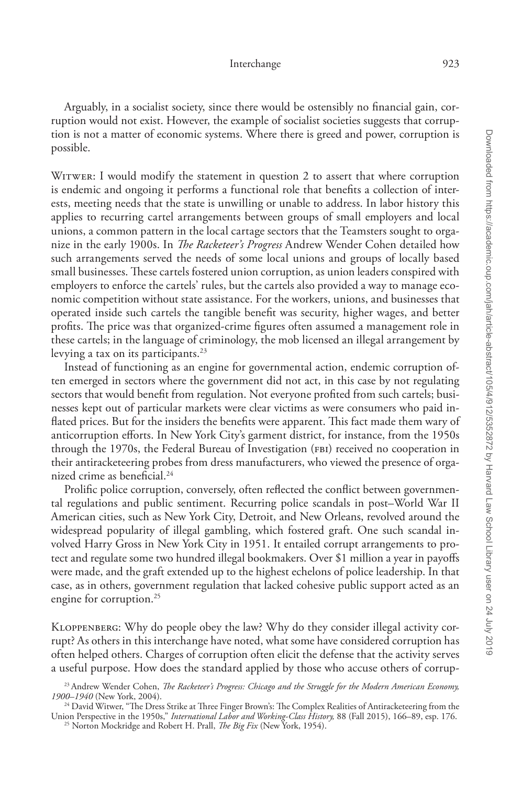Arguably, in a socialist society, since there would be ostensibly no financial gain, corruption would not exist. However, the example of socialist societies suggests that corruption is not a matter of economic systems. Where there is greed and power, corruption is possible.

WITWER: I would modify the statement in question 2 to assert that where corruption is endemic and ongoing it performs a functional role that benefits a collection of interests, meeting needs that the state is unwilling or unable to address. In labor history this applies to recurring cartel arrangements between groups of small employers and local unions, a common pattern in the local cartage sectors that the Teamsters sought to organize in the early 1900s. In *The Racketeer's Progress* Andrew Wender Cohen detailed how such arrangements served the needs of some local unions and groups of locally based small businesses. These cartels fostered union corruption, as union leaders conspired with employers to enforce the cartels' rules, but the cartels also provided a way to manage economic competition without state assistance. For the workers, unions, and businesses that operated inside such cartels the tangible benefit was security, higher wages, and better profits. The price was that organized-crime figures often assumed a management role in these cartels; in the language of criminology, the mob licensed an illegal arrangement by levying a tax on its participants.<sup>23</sup>

Instead of functioning as an engine for governmental action, endemic corruption often emerged in sectors where the government did not act, in this case by not regulating sectors that would benefit from regulation. Not everyone profited from such cartels; businesses kept out of particular markets were clear victims as were consumers who paid inflated prices. But for the insiders the benefits were apparent. This fact made them wary of anticorruption efforts. In New York City's garment district, for instance, from the 1950s through the 1970s, the Federal Bureau of Investigation (FBI) received no cooperation in their antiracketeering probes from dress manufacturers, who viewed the presence of organized crime as beneficial.<sup>24</sup>

Prolific police corruption, conversely, often reflected the conflict between governmental regulations and public sentiment. Recurring police scandals in post–World War II American cities, such as New York City, Detroit, and New Orleans, revolved around the widespread popularity of illegal gambling, which fostered graft. One such scandal involved Harry Gross in New York City in 1951. It entailed corrupt arrangements to protect and regulate some two hundred illegal bookmakers. Over \$1 million a year in payoffs were made, and the graft extended up to the highest echelons of police leadership. In that case, as in others, government regulation that lacked cohesive public support acted as an engine for corruption.<sup>25</sup>

Kloppenberg: Why do people obey the law? Why do they consider illegal activity corrupt? As others in this interchange have noted, what some have considered corruption has often helped others. Charges of corruption often elicit the defense that the activity serves a useful purpose. How does the standard applied by those who accuse others of corrup-

<sup>23</sup> Andrew Wender Cohen, *The Racketeer's Progress: Chicago and the Struggle for the Modern American Economy, 1900–1940* (New York, 2004).

<sup>&</sup>lt;sup>24</sup> David Witwer, "The Dress Strike at Three Finger Brown's: The Complex Realities of Antiracketeering from the Union Perspective in the 1950s," *International Labor and Working-Class History,* 88 (Fall 2015), 166–89, esp. 176. 25 Norton Mockridge and Robert H. Prall, *The Big Fix* (New York, 1954).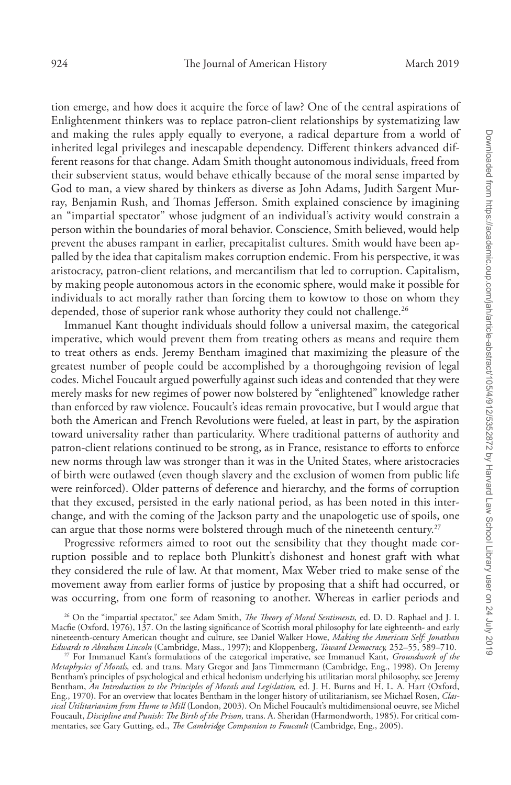tion emerge, and how does it acquire the force of law? One of the central aspirations of Enlightenment thinkers was to replace patron-client relationships by systematizing law and making the rules apply equally to everyone, a radical departure from a world of inherited legal privileges and inescapable dependency. Different thinkers advanced different reasons for that change. Adam Smith thought autonomous individuals, freed from their subservient status, would behave ethically because of the moral sense imparted by God to man, a view shared by thinkers as diverse as John Adams, Judith Sargent Murray, Benjamin Rush, and Thomas Jefferson. Smith explained conscience by imagining an "impartial spectator" whose judgment of an individual's activity would constrain a person within the boundaries of moral behavior. Conscience, Smith believed, would help prevent the abuses rampant in earlier, precapitalist cultures. Smith would have been appalled by the idea that capitalism makes corruption endemic. From his perspective, it was aristocracy, patron-client relations, and mercantilism that led to corruption. Capitalism, by making people autonomous actors in the economic sphere, would make it possible for individuals to act morally rather than forcing them to kowtow to those on whom they depended, those of superior rank whose authority they could not challenge.<sup>26</sup>

Immanuel Kant thought individuals should follow a universal maxim, the categorical imperative, which would prevent them from treating others as means and require them to treat others as ends. Jeremy Bentham imagined that maximizing the pleasure of the greatest number of people could be accomplished by a thoroughgoing revision of legal codes. Michel Foucault argued powerfully against such ideas and contended that they were merely masks for new regimes of power now bolstered by "enlightened" knowledge rather than enforced by raw violence. Foucault's ideas remain provocative, but I would argue that both the American and French Revolutions were fueled, at least in part, by the aspiration toward universality rather than particularity. Where traditional patterns of authority and patron-client relations continued to be strong, as in France, resistance to efforts to enforce new norms through law was stronger than it was in the United States, where aristocracies of birth were outlawed (even though slavery and the exclusion of women from public life were reinforced). Older patterns of deference and hierarchy, and the forms of corruption that they excused, persisted in the early national period, as has been noted in this interchange, and with the coming of the Jackson party and the unapologetic use of spoils, one can argue that those norms were bolstered through much of the nineteenth century.<sup>27</sup>

Progressive reformers aimed to root out the sensibility that they thought made corruption possible and to replace both Plunkitt's dishonest and honest graft with what they considered the rule of law. At that moment, Max Weber tried to make sense of the movement away from earlier forms of justice by proposing that a shift had occurred, or was occurring, from one form of reasoning to another. Whereas in earlier periods and

26 On the "impartial spectator," see Adam Smith, *The Theory of Moral Sentiments,* ed. D. D. Raphael and J. I. Macfie (Oxford, 1976), 137. On the lasting significance of Scottish moral philosophy for late eighteenth- and early nineteenth-century American thought and culture, see Daniel Walker Howe, *Making the American Self: Jonathan* 

<sup>&</sup>lt;sup>27</sup> For Immanuel Kant's formulations of the categorical imperative, see Immanuel Kant, Groundwork of the *Metaphysics of Morals,* ed. and trans. Mary Gregor and Jans Timmermann (Cambridge, Eng., 1998). On Jeremy Bentham's principles of psychological and ethical hedonism underlying his utilitarian moral philosophy, see Jeremy Bentham, *An Introduction to the Principles of Morals and Legislation,* ed. J. H. Burns and H. L. A. Hart (Oxford, Eng., 1970). For an overview that locates Bentham in the longer history of utilitarianism, see Michael Rosen, *Classical Utilitarianism from Hume to Mill* (London, 2003). On Michel Foucault's multidimensional oeuvre, see Michel Foucault, *Discipline and Punish: The Birth of the Prison,* trans. A. Sheridan (Harmondworth, 1985). For critical commentaries, see Gary Gutting, ed., *The Cambridge Companion to Foucault* (Cambridge, Eng., 2005).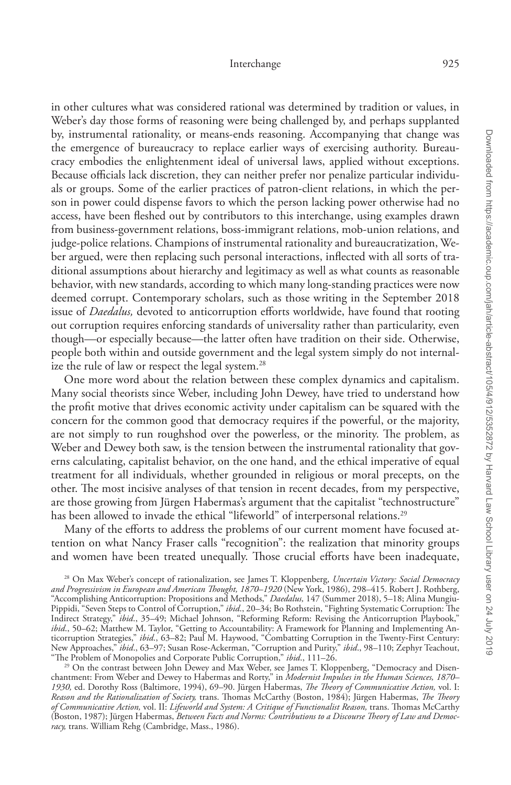in other cultures what was considered rational was determined by tradition or values, in Weber's day those forms of reasoning were being challenged by, and perhaps supplanted by, instrumental rationality, or means-ends reasoning. Accompanying that change was the emergence of bureaucracy to replace earlier ways of exercising authority. Bureaucracy embodies the enlightenment ideal of universal laws, applied without exceptions. Because officials lack discretion, they can neither prefer nor penalize particular individuals or groups. Some of the earlier practices of patron-client relations, in which the person in power could dispense favors to which the person lacking power otherwise had no access, have been fleshed out by contributors to this interchange, using examples drawn from business-government relations, boss-immigrant relations, mob-union relations, and judge-police relations. Champions of instrumental rationality and bureaucratization, Weber argued, were then replacing such personal interactions, inflected with all sorts of traditional assumptions about hierarchy and legitimacy as well as what counts as reasonable behavior, with new standards, according to which many long-standing practices were now deemed corrupt. Contemporary scholars, such as those writing in the September 2018 issue of *Daedalus,* devoted to anticorruption efforts worldwide, have found that rooting out corruption requires enforcing standards of universality rather than particularity, even though—or especially because—the latter often have tradition on their side. Otherwise, people both within and outside government and the legal system simply do not internalize the rule of law or respect the legal system.<sup>28</sup>

One more word about the relation between these complex dynamics and capitalism. Many social theorists since Weber, including John Dewey, have tried to understand how the profit motive that drives economic activity under capitalism can be squared with the concern for the common good that democracy requires if the powerful, or the majority, are not simply to run roughshod over the powerless, or the minority. The problem, as Weber and Dewey both saw, is the tension between the instrumental rationality that governs calculating, capitalist behavior, on the one hand, and the ethical imperative of equal treatment for all individuals, whether grounded in religious or moral precepts, on the other. The most incisive analyses of that tension in recent decades, from my perspective, are those growing from Jürgen Habermas's argument that the capitalist "technostructure" has been allowed to invade the ethical "lifeworld" of interpersonal relations.<sup>29</sup>

Many of the efforts to address the problems of our current moment have focused attention on what Nancy Fraser calls "recognition": the realization that minority groups and women have been treated unequally. Those crucial efforts have been inadequate,

chantment: From Weber and Dewey to Habermas and Rorty," in *Modernist Impulses in the Human Sciences, 1870– 1930,* ed. Dorothy Ross (Baltimore, 1994), 69–90. Jürgen Habermas, *The Theory of Communicative Action,* vol. I: *Reason and the Rationalization of Society,* trans. Thomas McCarthy (Boston, 1984); Jürgen Habermas, *The Theory of Communicative Action,* vol. II: *Lifeworld and System: A Critique of Functionalist Reason,* trans. Thomas McCarthy (Boston, 1987); Jürgen Habermas, *Between Facts and Norms: Contributions to a Discourse Theory of Law and Democracy,* trans. William Rehg (Cambridge, Mass., 1986).

<sup>28</sup> On Max Weber's concept of rationalization, see James T. Kloppenberg, *Uncertain Victory: Social Democracy and Progressivism in European and American Thought, 1870–1920* (New York, 1986), 298–415. Robert J. Rothberg, "Accomplishing Anticorruption: Propositions and Methods," *Daedalus,* 147 (Summer 2018), 5–18; Alina Mungiu-Pippidi, "Seven Steps to Control of Corruption," *ibid*., 20–34; Bo Rothstein, "Fighting Systematic Corruption: The Indirect Strategy," *ibid*., 35–49; Michael Johnson, "Reforming Reform: Revising the Anticorruption Playbook," *ibid*., 50–62; Matthew M. Taylor, "Getting to Accountability: A Framework for Planning and Implementing Anticorruption Strategies," *ibid*., 63–82; Paul M. Haywood, "Combatting Corruption in the Twenty-First Century: New Approaches," *ibid*., 63–97; Susan Rose-Ackerman, "Corruption and Purity," *ibid*., 98–110; Zephyr Teachout, "The Problem of Monopolies and Corporate Public Corruption," *ibid*., 111–26. 29 On the contrast between John Dewey and Max Weber, see James T. Kloppenberg, "Democracy and Disen-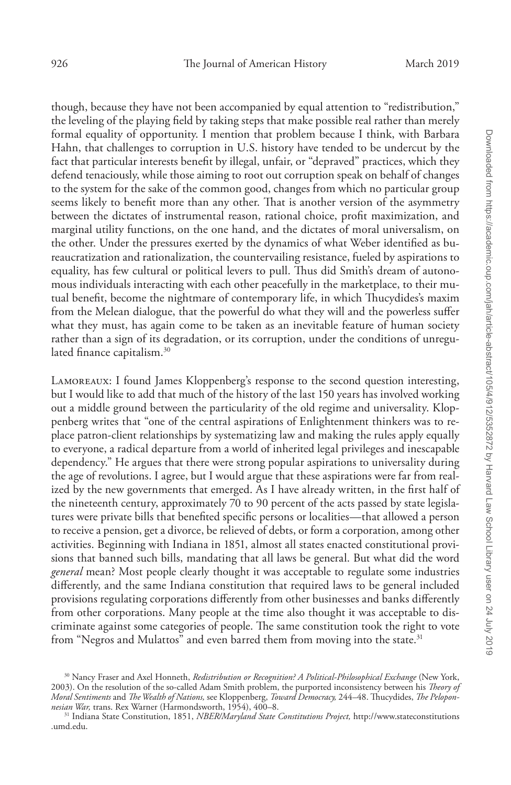though, because they have not been accompanied by equal attention to "redistribution," the leveling of the playing field by taking steps that make possible real rather than merely formal equality of opportunity. I mention that problem because I think, with Barbara Hahn, that challenges to corruption in U.S. history have tended to be undercut by the fact that particular interests benefit by illegal, unfair, or "depraved" practices, which they defend tenaciously, while those aiming to root out corruption speak on behalf of changes to the system for the sake of the common good, changes from which no particular group seems likely to benefit more than any other. That is another version of the asymmetry between the dictates of instrumental reason, rational choice, profit maximization, and marginal utility functions, on the one hand, and the dictates of moral universalism, on the other. Under the pressures exerted by the dynamics of what Weber identified as bureaucratization and rationalization, the countervailing resistance, fueled by aspirations to equality, has few cultural or political levers to pull. Thus did Smith's dream of autonomous individuals interacting with each other peacefully in the marketplace, to their mutual benefit, become the nightmare of contemporary life, in which Thucydides's maxim from the Melean dialogue, that the powerful do what they will and the powerless suffer what they must, has again come to be taken as an inevitable feature of human society rather than a sign of its degradation, or its corruption, under the conditions of unregulated finance capitalism.<sup>30</sup>

Lamoreaux: I found James Kloppenberg's response to the second question interesting, but I would like to add that much of the history of the last 150 years has involved working out a middle ground between the particularity of the old regime and universality. Kloppenberg writes that "one of the central aspirations of Enlightenment thinkers was to replace patron-client relationships by systematizing law and making the rules apply equally to everyone, a radical departure from a world of inherited legal privileges and inescapable dependency." He argues that there were strong popular aspirations to universality during the age of revolutions. I agree, but I would argue that these aspirations were far from realized by the new governments that emerged. As I have already written, in the first half of the nineteenth century, approximately 70 to 90 percent of the acts passed by state legislatures were private bills that benefited specific persons or localities—that allowed a person to receive a pension, get a divorce, be relieved of debts, or form a corporation, among other activities. Beginning with Indiana in 1851, almost all states enacted constitutional provisions that banned such bills, mandating that all laws be general. But what did the word *general* mean? Most people clearly thought it was acceptable to regulate some industries differently, and the same Indiana constitution that required laws to be general included provisions regulating corporations differently from other businesses and banks differently from other corporations. Many people at the time also thought it was acceptable to discriminate against some categories of people. The same constitution took the right to vote from "Negros and Mulattos" and even barred them from moving into the state.<sup>31</sup>

<sup>30</sup> Nancy Fraser and Axel Honneth, *Redistribution or Recognition? A Political-Philosophical Exchange* (New York, 2003). On the resolution of the so-called Adam Smith problem, the purported inconsistency between his *Theory of Moral Sentiments* and *The Wealth of Nations,* see Kloppenberg, *Toward Democracy,* 244–48. Thucydides, *The Pelopon-*

<sup>&</sup>lt;sup>31</sup> Indiana State Constitution, 1851, *NBER/Maryland State Constitutions Project*, http://www.stateconstitutions .umd.edu.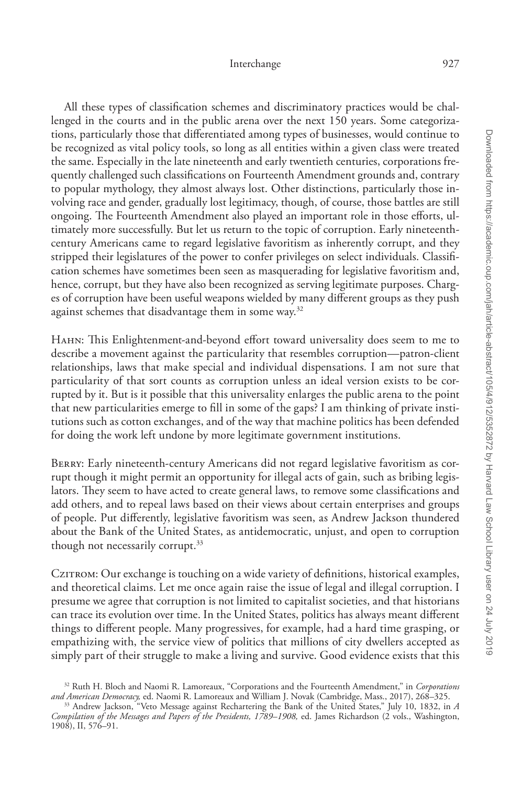All these types of classification schemes and discriminatory practices would be challenged in the courts and in the public arena over the next 150 years. Some categorizations, particularly those that differentiated among types of businesses, would continue to be recognized as vital policy tools, so long as all entities within a given class were treated the same. Especially in the late nineteenth and early twentieth centuries, corporations frequently challenged such classifications on Fourteenth Amendment grounds and, contrary to popular mythology, they almost always lost. Other distinctions, particularly those involving race and gender, gradually lost legitimacy, though, of course, those battles are still ongoing. The Fourteenth Amendment also played an important role in those efforts, ultimately more successfully. But let us return to the topic of corruption. Early nineteenthcentury Americans came to regard legislative favoritism as inherently corrupt, and they stripped their legislatures of the power to confer privileges on select individuals. Classification schemes have sometimes been seen as masquerading for legislative favoritism and, hence, corrupt, but they have also been recognized as serving legitimate purposes. Charges of corruption have been useful weapons wielded by many different groups as they push against schemes that disadvantage them in some way.<sup>32</sup>

Hahn: This Enlightenment-and-beyond effort toward universality does seem to me to describe a movement against the particularity that resembles corruption—patron-client relationships, laws that make special and individual dispensations. I am not sure that particularity of that sort counts as corruption unless an ideal version exists to be corrupted by it. But is it possible that this universality enlarges the public arena to the point that new particularities emerge to fill in some of the gaps? I am thinking of private institutions such as cotton exchanges, and of the way that machine politics has been defended for doing the work left undone by more legitimate government institutions.

BERRY: Early nineteenth-century Americans did not regard legislative favoritism as corrupt though it might permit an opportunity for illegal acts of gain, such as bribing legislators. They seem to have acted to create general laws, to remove some classifications and add others, and to repeal laws based on their views about certain enterprises and groups of people. Put differently, legislative favoritism was seen, as Andrew Jackson thundered about the Bank of the United States, as antidemocratic, unjust, and open to corruption though not necessarily corrupt.<sup>33</sup>

Czitrom: Our exchange is touching on a wide variety of definitions, historical examples, and theoretical claims. Let me once again raise the issue of legal and illegal corruption. I presume we agree that corruption is not limited to capitalist societies, and that historians can trace its evolution over time. In the United States, politics has always meant different things to different people. Many progressives, for example, had a hard time grasping, or empathizing with, the service view of politics that millions of city dwellers accepted as simply part of their struggle to make a living and survive. Good evidence exists that this

<sup>32</sup> Ruth H. Bloch and Naomi R. Lamoreaux, "Corporations and the Fourteenth Amendment," in *Corporations and American Democracy,* ed. Naomi R. Lamoreaux and William J. Novak (Cambridge, Mass., 2017), 268–325.

<sup>33</sup> Andrew Jackson, "Veto Message against Rechartering the Bank of the United States," July 10, 1832, in *A Compilation of the Messages and Papers of the Presidents, 1789–1908,* ed. James Richardson (2 vols., Washington, 1908), II, 576–91.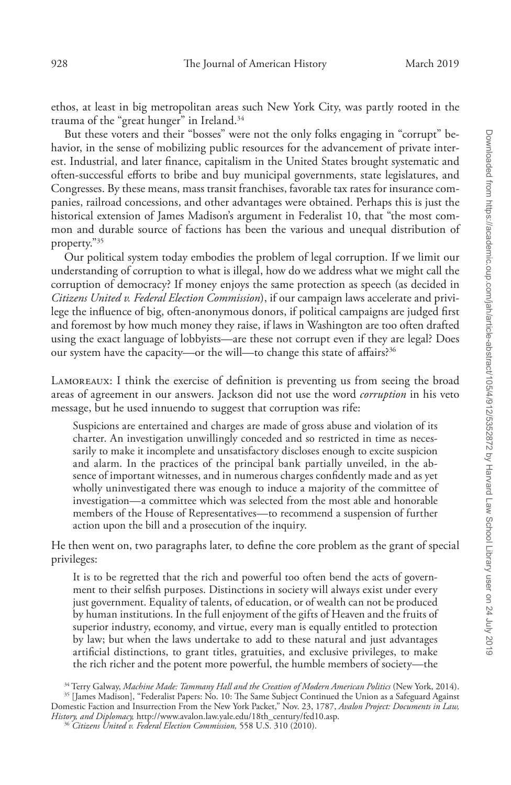ethos, at least in big metropolitan areas such New York City, was partly rooted in the trauma of the "great hunger" in Ireland.<sup>34</sup>

But these voters and their "bosses" were not the only folks engaging in "corrupt" behavior, in the sense of mobilizing public resources for the advancement of private interest. Industrial, and later finance, capitalism in the United States brought systematic and often-successful efforts to bribe and buy municipal governments, state legislatures, and Congresses. By these means, mass transit franchises, favorable tax rates for insurance companies, railroad concessions, and other advantages were obtained. Perhaps this is just the historical extension of James Madison's argument in Federalist 10, that "the most common and durable source of factions has been the various and unequal distribution of property."35

Our political system today embodies the problem of legal corruption. If we limit our understanding of corruption to what is illegal, how do we address what we might call the corruption of democracy? If money enjoys the same protection as speech (as decided in *Citizens United v. Federal Election Commission*), if our campaign laws accelerate and privilege the influence of big, often-anonymous donors, if political campaigns are judged first and foremost by how much money they raise, if laws in Washington are too often drafted using the exact language of lobbyists—are these not corrupt even if they are legal? Does our system have the capacity—or the will—to change this state of affairs?<sup>36</sup>

LAMOREAUX: I think the exercise of definition is preventing us from seeing the broad areas of agreement in our answers. Jackson did not use the word *corruption* in his veto message, but he used innuendo to suggest that corruption was rife:

Suspicions are entertained and charges are made of gross abuse and violation of its charter. An investigation unwillingly conceded and so restricted in time as necessarily to make it incomplete and unsatisfactory discloses enough to excite suspicion and alarm. In the practices of the principal bank partially unveiled, in the absence of important witnesses, and in numerous charges confidently made and as yet wholly uninvestigated there was enough to induce a majority of the committee of investigation—a committee which was selected from the most able and honorable members of the House of Representatives—to recommend a suspension of further action upon the bill and a prosecution of the inquiry.

He then went on, two paragraphs later, to define the core problem as the grant of special privileges:

It is to be regretted that the rich and powerful too often bend the acts of government to their selfish purposes. Distinctions in society will always exist under every just government. Equality of talents, of education, or of wealth can not be produced by human institutions. In the full enjoyment of the gifts of Heaven and the fruits of superior industry, economy, and virtue, every man is equally entitled to protection by law; but when the laws undertake to add to these natural and just advantages artificial distinctions, to grant titles, gratuities, and exclusive privileges, to make the rich richer and the potent more powerful, the humble members of society—the

<sup>34</sup> Terry Galway, *Machine Made: Tammany Hall and the Creation of Modern American Politics* (New York, 2014).<br><sup>35</sup> [James Madison], "Federalist Papers: No. 10: The Same Subject Continued the Union as a Safeguard Against Domestic Faction and Insurrection From the New York Packet," Nov. 23, 1787, *Avalon Project: Documents in Law, History, and Diplomacy,* http://www.avalon.law.yale.edu/18th\_century/fed10.asp. 36 *Citizens United v. Federal Election Commission,* 558 U.S. 310 (2010).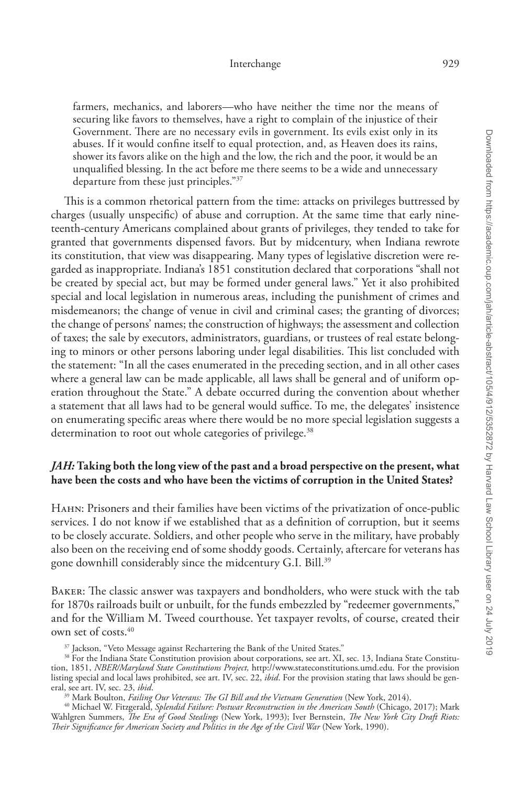farmers, mechanics, and laborers—who have neither the time nor the means of securing like favors to themselves, have a right to complain of the injustice of their Government. There are no necessary evils in government. Its evils exist only in its abuses. If it would confine itself to equal protection, and, as Heaven does its rains, shower its favors alike on the high and the low, the rich and the poor, it would be an unqualified blessing. In the act before me there seems to be a wide and unnecessary departure from these just principles."37

This is a common rhetorical pattern from the time: attacks on privileges buttressed by charges (usually unspecific) of abuse and corruption. At the same time that early nineteenth-century Americans complained about grants of privileges, they tended to take for granted that governments dispensed favors. But by midcentury, when Indiana rewrote its constitution, that view was disappearing. Many types of legislative discretion were regarded as inappropriate. Indiana's 1851 constitution declared that corporations "shall not be created by special act, but may be formed under general laws." Yet it also prohibited special and local legislation in numerous areas, including the punishment of crimes and misdemeanors; the change of venue in civil and criminal cases; the granting of divorces; the change of persons' names; the construction of highways; the assessment and collection of taxes; the sale by executors, administrators, guardians, or trustees of real estate belonging to minors or other persons laboring under legal disabilities. This list concluded with the statement: "In all the cases enumerated in the preceding section, and in all other cases where a general law can be made applicable, all laws shall be general and of uniform operation throughout the State." A debate occurred during the convention about whether a statement that all laws had to be general would suffice. To me, the delegates' insistence on enumerating specific areas where there would be no more special legislation suggests a determination to root out whole categories of privilege.<sup>38</sup>

## *JAH:* **Taking both the long view of the past and a broad perspective on the present, what have been the costs and who have been the victims of corruption in the United States?**

Hahn: Prisoners and their families have been victims of the privatization of once-public services. I do not know if we established that as a definition of corruption, but it seems to be closely accurate. Soldiers, and other people who serve in the military, have probably also been on the receiving end of some shoddy goods. Certainly, aftercare for veterans has gone downhill considerably since the midcentury G.I. Bill.<sup>39</sup>

Baker: The classic answer was taxpayers and bondholders, who were stuck with the tab for 1870s railroads built or unbuilt, for the funds embezzled by "redeemer governments," and for the William M. Tweed courthouse. Yet taxpayer revolts, of course, created their own set of costs.40

<sup>37</sup> Jackson, "Veto Message against Rechartering the Bank of the United States."

<sup>38</sup> For the Indiana State Constitution provision about corporations, see art. XI, sec. 13, Indiana State Constitution, 1851, *NBER/Maryland State Constitutions Project,* http://www.stateconstitutions.umd.edu. For the provision listing special and local laws prohibited, see art. IV, sec. 22, *ibid*. For the provision stating that laws should be general, see art. IV, sec. 23, *ibid*.

<sup>39</sup> Mark Boulton, *Failing Our Veterans: The GI Bill and the Vietnam Generation* (New York, 2014).

<sup>40</sup> Michael W. Fitzgerald, *Splendid Failure: Postwar Reconstruction in the American South* (Chicago, 2017); Mark Wahlgren Summers, *The Era of Good Stealings* (New York, 1993); Iver Bernstein, *The New York City Draft Riots: Their Significance for American Society and Politics in the Age of the Civil War* (New York, 1990).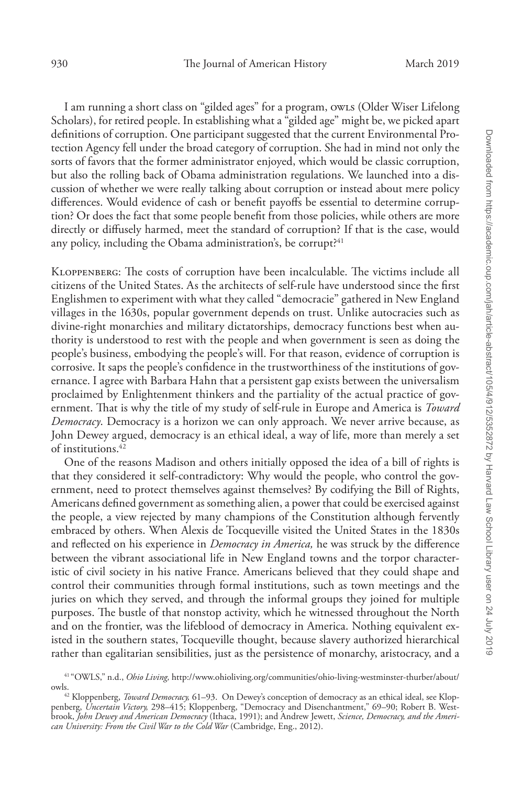I am running a short class on "gilded ages" for a program, owns (Older Wiser Lifelong Scholars), for retired people. In establishing what a "gilded age" might be, we picked apart definitions of corruption. One participant suggested that the current Environmental Protection Agency fell under the broad category of corruption. She had in mind not only the sorts of favors that the former administrator enjoyed, which would be classic corruption, but also the rolling back of Obama administration regulations. We launched into a discussion of whether we were really talking about corruption or instead about mere policy differences. Would evidence of cash or benefit payoffs be essential to determine corruption? Or does the fact that some people benefit from those policies, while others are more directly or diffusely harmed, meet the standard of corruption? If that is the case, would any policy, including the Obama administration's, be corrupt? $41$ 

Kloppenberg: The costs of corruption have been incalculable. The victims include all citizens of the United States. As the architects of self-rule have understood since the first Englishmen to experiment with what they called "democracie" gathered in New England villages in the 1630s, popular government depends on trust. Unlike autocracies such as divine-right monarchies and military dictatorships, democracy functions best when authority is understood to rest with the people and when government is seen as doing the people's business, embodying the people's will. For that reason, evidence of corruption is corrosive. It saps the people's confidence in the trustworthiness of the institutions of governance. I agree with Barbara Hahn that a persistent gap exists between the universalism proclaimed by Enlightenment thinkers and the partiality of the actual practice of government. That is why the title of my study of self-rule in Europe and America is *Toward Democracy*. Democracy is a horizon we can only approach. We never arrive because, as John Dewey argued, democracy is an ethical ideal, a way of life, more than merely a set of institutions.42

One of the reasons Madison and others initially opposed the idea of a bill of rights is that they considered it self-contradictory: Why would the people, who control the government, need to protect themselves against themselves? By codifying the Bill of Rights, Americans defined government as something alien, a power that could be exercised against the people, a view rejected by many champions of the Constitution although fervently embraced by others. When Alexis de Tocqueville visited the United States in the 1830s and reflected on his experience in *Democracy in America,* he was struck by the difference between the vibrant associational life in New England towns and the torpor characteristic of civil society in his native France. Americans believed that they could shape and control their communities through formal institutions, such as town meetings and the juries on which they served, and through the informal groups they joined for multiple purposes. The bustle of that nonstop activity, which he witnessed throughout the North and on the frontier, was the lifeblood of democracy in America. Nothing equivalent existed in the southern states, Tocqueville thought, because slavery authorized hierarchical rather than egalitarian sensibilities, just as the persistence of monarchy, aristocracy, and a

<sup>41 &</sup>quot;OWLS," n.d., *Ohio Living,* http://www.ohioliving.org/communities/ohio-living-westminster-thurber/about/

<sup>&</sup>lt;sup>42</sup> Kloppenberg, *Toward Democracy,* 61-93. On Dewey's conception of democracy as an ethical ideal, see Kloppenberg, *Uncertain Victory,* 298–415; Kloppenberg, "Democracy and Disenchantment," 69–90; Robert B. Westbrook, *John Dewey and American Democracy* (Ithaca, 1991); and Andrew Jewett, *Science, Democracy, and the American University: From the Civil War to the Cold War* (Cambridge, Eng., 2012).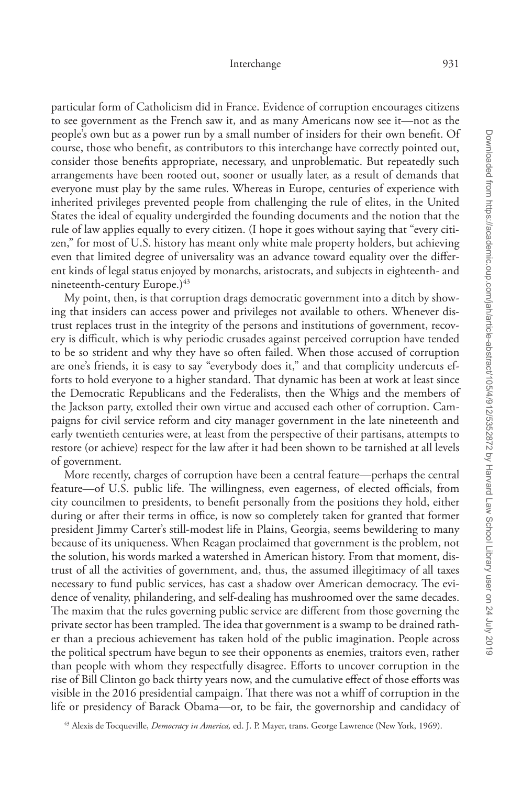particular form of Catholicism did in France. Evidence of corruption encourages citizens to see government as the French saw it, and as many Americans now see it—not as the people's own but as a power run by a small number of insiders for their own benefit. Of course, those who benefit, as contributors to this interchange have correctly pointed out, consider those benefits appropriate, necessary, and unproblematic. But repeatedly such arrangements have been rooted out, sooner or usually later, as a result of demands that everyone must play by the same rules. Whereas in Europe, centuries of experience with inherited privileges prevented people from challenging the rule of elites, in the United States the ideal of equality undergirded the founding documents and the notion that the rule of law applies equally to every citizen. (I hope it goes without saying that "every citizen," for most of U.S. history has meant only white male property holders, but achieving even that limited degree of universality was an advance toward equality over the different kinds of legal status enjoyed by monarchs, aristocrats, and subjects in eighteenth- and nineteenth-century Europe. $)^{43}$ 

My point, then, is that corruption drags democratic government into a ditch by showing that insiders can access power and privileges not available to others. Whenever distrust replaces trust in the integrity of the persons and institutions of government, recovery is difficult, which is why periodic crusades against perceived corruption have tended to be so strident and why they have so often failed. When those accused of corruption are one's friends, it is easy to say "everybody does it," and that complicity undercuts efforts to hold everyone to a higher standard. That dynamic has been at work at least since the Democratic Republicans and the Federalists, then the Whigs and the members of the Jackson party, extolled their own virtue and accused each other of corruption. Campaigns for civil service reform and city manager government in the late nineteenth and early twentieth centuries were, at least from the perspective of their partisans, attempts to restore (or achieve) respect for the law after it had been shown to be tarnished at all levels of government.

More recently, charges of corruption have been a central feature—perhaps the central feature—of U.S. public life. The willingness, even eagerness, of elected officials, from city councilmen to presidents, to benefit personally from the positions they hold, either during or after their terms in office, is now so completely taken for granted that former president Jimmy Carter's still-modest life in Plains, Georgia, seems bewildering to many because of its uniqueness. When Reagan proclaimed that government is the problem, not the solution, his words marked a watershed in American history. From that moment, distrust of all the activities of government, and, thus, the assumed illegitimacy of all taxes necessary to fund public services, has cast a shadow over American democracy. The evidence of venality, philandering, and self-dealing has mushroomed over the same decades. The maxim that the rules governing public service are different from those governing the private sector has been trampled. The idea that government is a swamp to be drained rather than a precious achievement has taken hold of the public imagination. People across the political spectrum have begun to see their opponents as enemies, traitors even, rather than people with whom they respectfully disagree. Efforts to uncover corruption in the rise of Bill Clinton go back thirty years now, and the cumulative effect of those efforts was visible in the 2016 presidential campaign. That there was not a whiff of corruption in the life or presidency of Barack Obama—or, to be fair, the governorship and candidacy of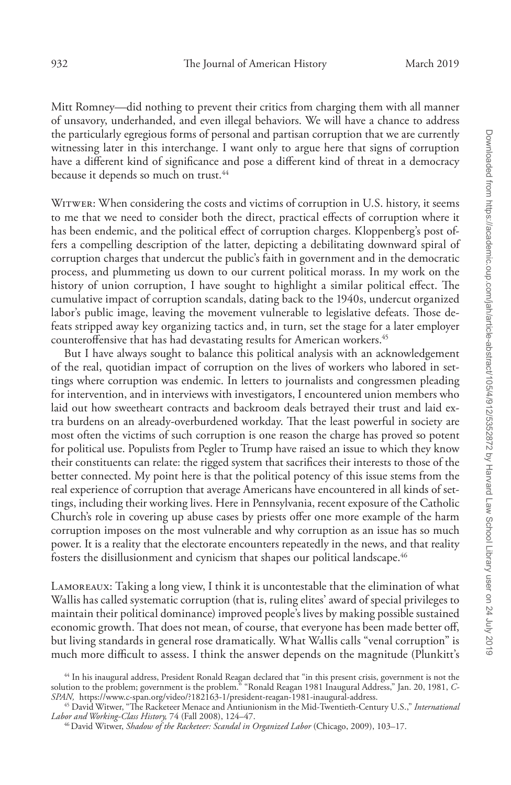Mitt Romney—did nothing to prevent their critics from charging them with all manner of unsavory, underhanded, and even illegal behaviors. We will have a chance to address the particularly egregious forms of personal and partisan corruption that we are currently witnessing later in this interchange. I want only to argue here that signs of corruption have a different kind of significance and pose a different kind of threat in a democracy because it depends so much on trust.<sup>44</sup>

WITWER: When considering the costs and victims of corruption in U.S. history, it seems to me that we need to consider both the direct, practical effects of corruption where it has been endemic, and the political effect of corruption charges. Kloppenberg's post offers a compelling description of the latter, depicting a debilitating downward spiral of corruption charges that undercut the public's faith in government and in the democratic process, and plummeting us down to our current political morass. In my work on the history of union corruption, I have sought to highlight a similar political effect. The cumulative impact of corruption scandals, dating back to the 1940s, undercut organized labor's public image, leaving the movement vulnerable to legislative defeats. Those defeats stripped away key organizing tactics and, in turn, set the stage for a later employer counteroffensive that has had devastating results for American workers.<sup>45</sup>

But I have always sought to balance this political analysis with an acknowledgement of the real, quotidian impact of corruption on the lives of workers who labored in settings where corruption was endemic. In letters to journalists and congressmen pleading for intervention, and in interviews with investigators, I encountered union members who laid out how sweetheart contracts and backroom deals betrayed their trust and laid extra burdens on an already-overburdened workday. That the least powerful in society are most often the victims of such corruption is one reason the charge has proved so potent for political use. Populists from Pegler to Trump have raised an issue to which they know their constituents can relate: the rigged system that sacrifices their interests to those of the better connected. My point here is that the political potency of this issue stems from the real experience of corruption that average Americans have encountered in all kinds of settings, including their working lives. Here in Pennsylvania, recent exposure of the Catholic Church's role in covering up abuse cases by priests offer one more example of the harm corruption imposes on the most vulnerable and why corruption as an issue has so much power. It is a reality that the electorate encounters repeatedly in the news, and that reality fosters the disillusionment and cynicism that shapes our political landscape.<sup>46</sup>

Lamoreaux: Taking a long view, I think it is uncontestable that the elimination of what Wallis has called systematic corruption (that is, ruling elites' award of special privileges to maintain their political dominance) improved people's lives by making possible sustained economic growth. That does not mean, of course, that everyone has been made better off, but living standards in general rose dramatically. What Wallis calls "venal corruption" is much more difficult to assess. I think the answer depends on the magnitude (Plunkitt's

<sup>44</sup> In his inaugural address, President Ronald Reagan declared that "in this present crisis, government is not the solution to the problem; government is the problem." "Ronald Reagan 1981 Inaugural Address," Jan. 20, 1981, *C-SPAN,* https://www.c-span.org/video/?182163-1/president-reagan-1981-inaugural-address.

<sup>45</sup> David Witwer, "The Racketeer Menace and Antiunionism in the Mid-Twentieth-Century U.S.," *International Labor and Working-Class History,* 74 (Fall 2008), 124–47.

<sup>46</sup> David Witwer, *Shadow of the Racketeer: Scandal in Organized Labor* (Chicago, 2009), 103–17.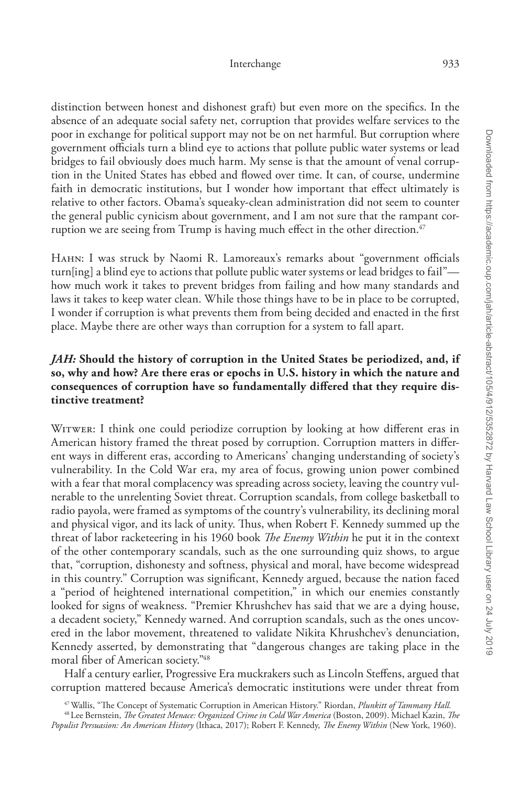distinction between honest and dishonest graft) but even more on the specifics. In the absence of an adequate social safety net, corruption that provides welfare services to the poor in exchange for political support may not be on net harmful. But corruption where government officials turn a blind eye to actions that pollute public water systems or lead bridges to fail obviously does much harm. My sense is that the amount of venal corruption in the United States has ebbed and flowed over time. It can, of course, undermine faith in democratic institutions, but I wonder how important that effect ultimately is relative to other factors. Obama's squeaky-clean administration did not seem to counter the general public cynicism about government, and I am not sure that the rampant corruption we are seeing from Trump is having much effect in the other direction. $47$ 

HAHN: I was struck by Naomi R. Lamoreaux's remarks about "government officials turn[ing] a blind eye to actions that pollute public water systems or lead bridges to fail" how much work it takes to prevent bridges from failing and how many standards and laws it takes to keep water clean. While those things have to be in place to be corrupted, I wonder if corruption is what prevents them from being decided and enacted in the first place. Maybe there are other ways than corruption for a system to fall apart.

## *JAH:* **Should the history of corruption in the United States be periodized, and, if so, why and how? Are there eras or epochs in U.S. history in which the nature and consequences of corruption have so fundamentally differed that they require distinctive treatment?**

WITWER: I think one could periodize corruption by looking at how different eras in American history framed the threat posed by corruption. Corruption matters in different ways in different eras, according to Americans' changing understanding of society's vulnerability. In the Cold War era, my area of focus, growing union power combined with a fear that moral complacency was spreading across society, leaving the country vulnerable to the unrelenting Soviet threat. Corruption scandals, from college basketball to radio payola, were framed as symptoms of the country's vulnerability, its declining moral and physical vigor, and its lack of unity. Thus, when Robert F. Kennedy summed up the threat of labor racketeering in his 1960 book *The Enemy Within* he put it in the context of the other contemporary scandals, such as the one surrounding quiz shows, to argue that, "corruption, dishonesty and softness, physical and moral, have become widespread in this country." Corruption was significant, Kennedy argued, because the nation faced a "period of heightened international competition," in which our enemies constantly looked for signs of weakness. "Premier Khrushchev has said that we are a dying house, a decadent society," Kennedy warned. And corruption scandals, such as the ones uncovered in the labor movement, threatened to validate Nikita Khrushchev's denunciation, Kennedy asserted, by demonstrating that "dangerous changes are taking place in the moral fiber of American society."48

Half a century earlier, Progressive Era muckrakers such as Lincoln Steffens, argued that corruption mattered because America's democratic institutions were under threat from

<sup>47</sup> Wallis, "The Concept of Systematic Corruption in American History." Riordan, *Plunkitt of Tammany Hall.*

<sup>48</sup> Lee Bernstein, *The Greatest Menace: Organized Crime in Cold War America* (Boston, 2009). Michael Kazin, *The Populist Persuasion: An American History* (Ithaca, 2017); Robert F. Kennedy, *The Enemy Within* (New York, 1960).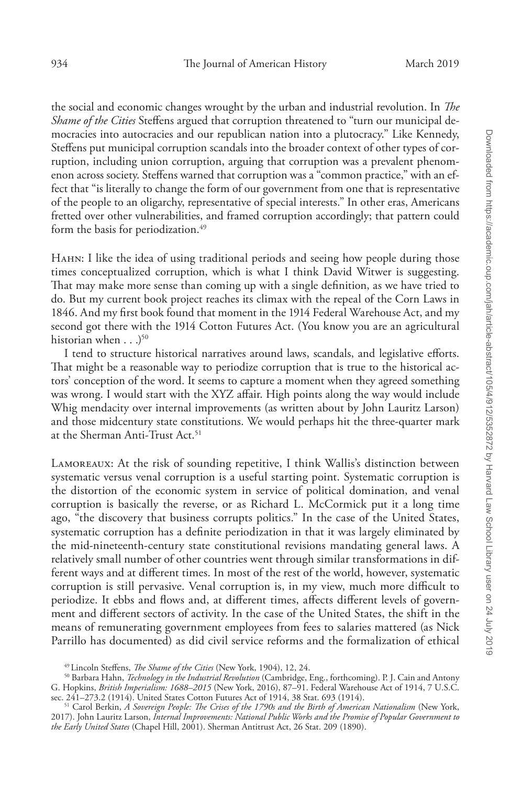the social and economic changes wrought by the urban and industrial revolution. In *The Shame of the Cities* Steffens argued that corruption threatened to "turn our municipal democracies into autocracies and our republican nation into a plutocracy." Like Kennedy, Steffens put municipal corruption scandals into the broader context of other types of corruption, including union corruption, arguing that corruption was a prevalent phenomenon across society. Steffens warned that corruption was a "common practice," with an effect that "is literally to change the form of our government from one that is representative of the people to an oligarchy, representative of special interests." In other eras, Americans fretted over other vulnerabilities, and framed corruption accordingly; that pattern could form the basis for periodization.<sup>49</sup>

HAHN: I like the idea of using traditional periods and seeing how people during those times conceptualized corruption, which is what I think David Witwer is suggesting. That may make more sense than coming up with a single definition, as we have tried to do. But my current book project reaches its climax with the repeal of the Corn Laws in 1846. And my first book found that moment in the 1914 Federal Warehouse Act, and my second got there with the 1914 Cotton Futures Act. (You know you are an agricultural historian when  $\ldots$ )<sup>50</sup>

I tend to structure historical narratives around laws, scandals, and legislative efforts. That might be a reasonable way to periodize corruption that is true to the historical actors' conception of the word. It seems to capture a moment when they agreed something was wrong. I would start with the XYZ affair. High points along the way would include Whig mendacity over internal improvements (as written about by John Lauritz Larson) and those midcentury state constitutions. We would perhaps hit the three-quarter mark at the Sherman Anti-Trust Act.<sup>51</sup>

Lamoreaux: At the risk of sounding repetitive, I think Wallis's distinction between systematic versus venal corruption is a useful starting point. Systematic corruption is the distortion of the economic system in service of political domination, and venal corruption is basically the reverse, or as Richard L. McCormick put it a long time ago, "the discovery that business corrupts politics." In the case of the United States, systematic corruption has a definite periodization in that it was largely eliminated by the mid-nineteenth-century state constitutional revisions mandating general laws. A relatively small number of other countries went through similar transformations in different ways and at different times. In most of the rest of the world, however, systematic corruption is still pervasive. Venal corruption is, in my view, much more difficult to periodize. It ebbs and flows and, at different times, affects different levels of government and different sectors of activity. In the case of the United States, the shift in the means of remunerating government employees from fees to salaries mattered (as Nick Parrillo has documented) as did civil service reforms and the formalization of ethical

<sup>49</sup> Lincoln Steffens, *The Shame of the Cities* (New York, 1904), 12, 24.

<sup>50</sup> Barbara Hahn, *Technology in the Industrial Revolution* (Cambridge, Eng., forthcoming). P. J. Cain and Antony G. Hopkins, *British Imperialism: 1688–2015* (New York, 2016), 87–91. Federal Warehouse Act of 1914, 7 U.S.C. sec. 241–273.2 (1914). United States Cotton Futures Act of 1914, 38 Stat. 693 (1914).

<sup>51</sup> Carol Berkin, *A Sovereign People: The Crises of the 1790s and the Birth of American Nationalism* (New York, 2017). John Lauritz Larson, *Internal Improvements: National Public Works and the Promise of Popular Government to the Early United States* (Chapel Hill, 2001). Sherman Antitrust Act, 26 Stat. 209 (1890).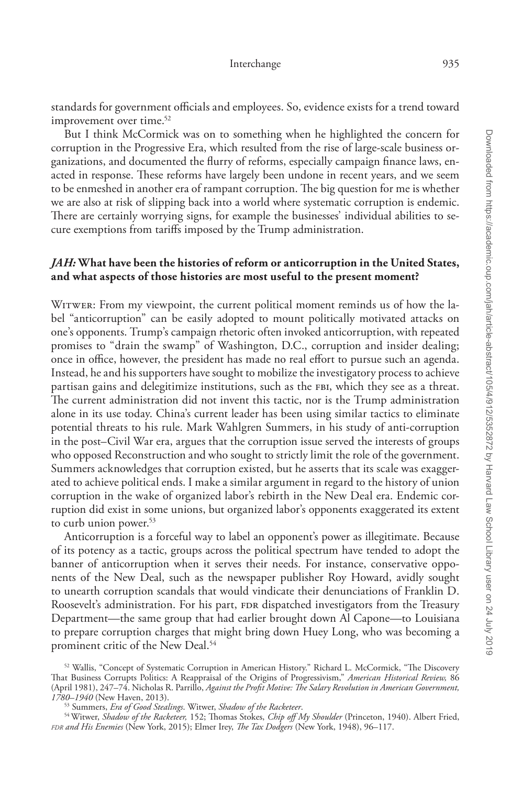standards for government officials and employees. So, evidence exists for a trend toward improvement over time.<sup>52</sup>

But I think McCormick was on to something when he highlighted the concern for corruption in the Progressive Era, which resulted from the rise of large-scale business organizations, and documented the flurry of reforms, especially campaign finance laws, enacted in response. These reforms have largely been undone in recent years, and we seem to be enmeshed in another era of rampant corruption. The big question for me is whether we are also at risk of slipping back into a world where systematic corruption is endemic. There are certainly worrying signs, for example the businesses' individual abilities to secure exemptions from tariffs imposed by the Trump administration.

## *JAH:* **What have been the histories of reform or anticorruption in the United States, and what aspects of those histories are most useful to the present moment?**

WITWER: From my viewpoint, the current political moment reminds us of how the label "anticorruption" can be easily adopted to mount politically motivated attacks on one's opponents. Trump's campaign rhetoric often invoked anticorruption, with repeated promises to "drain the swamp" of Washington, D.C., corruption and insider dealing; once in office, however, the president has made no real effort to pursue such an agenda. Instead, he and his supporters have sought to mobilize the investigatory process to achieve partisan gains and delegitimize institutions, such as the FBI, which they see as a threat. The current administration did not invent this tactic, nor is the Trump administration alone in its use today. China's current leader has been using similar tactics to eliminate potential threats to his rule. Mark Wahlgren Summers, in his study of anti-corruption in the post–Civil War era, argues that the corruption issue served the interests of groups who opposed Reconstruction and who sought to strictly limit the role of the government. Summers acknowledges that corruption existed, but he asserts that its scale was exaggerated to achieve political ends. I make a similar argument in regard to the history of union corruption in the wake of organized labor's rebirth in the New Deal era. Endemic corruption did exist in some unions, but organized labor's opponents exaggerated its extent to curb union power.<sup>53</sup>

Anticorruption is a forceful way to label an opponent's power as illegitimate. Because of its potency as a tactic, groups across the political spectrum have tended to adopt the banner of anticorruption when it serves their needs. For instance, conservative opponents of the New Deal, such as the newspaper publisher Roy Howard, avidly sought to unearth corruption scandals that would vindicate their denunciations of Franklin D. Roosevelt's administration. For his part, FDR dispatched investigators from the Treasury Department—the same group that had earlier brought down Al Capone—to Louisiana to prepare corruption charges that might bring down Huey Long, who was becoming a prominent critic of the New Deal.<sup>54</sup>

<sup>52</sup> Wallis, "Concept of Systematic Corruption in American History." Richard L. McCormick, "The Discovery That Business Corrupts Politics: A Reappraisal of the Origins of Progressivism," *American Historical Review,* 86 (April 1981), 247–74. Nicholas R. Parrillo, *Against the Profit Motive: The Salary Revolution in American Government,*  1780–1940 (New Haven, 2013).<br><sup>53</sup> Summers, *Era of Good Stealings*. Witwer, *Shadow of the Racketeer*.

<sup>53</sup> Summers, *Era of Good Stealings*. Witwer, *Shadow of the Racketeer*. 54 Witwer, *Shadow of the Racketeer,* 152; Thomas Stokes, *Chip off My Shoulder* (Princeton, 1940). Albert Fried, *fdr and His Enemies* (New York, 2015); Elmer Irey, *The Tax Dodgers* (New York, 1948), 96–117.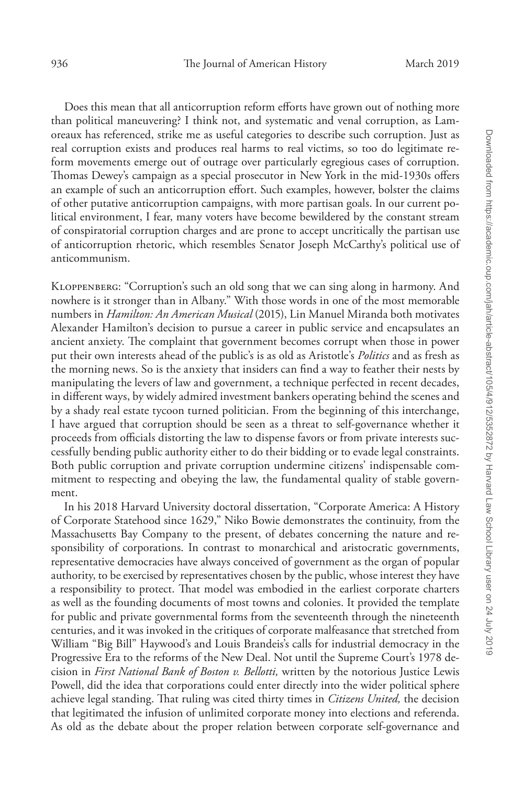Does this mean that all anticorruption reform efforts have grown out of nothing more than political maneuvering? I think not, and systematic and venal corruption, as Lamoreaux has referenced, strike me as useful categories to describe such corruption. Just as real corruption exists and produces real harms to real victims, so too do legitimate reform movements emerge out of outrage over particularly egregious cases of corruption. Thomas Dewey's campaign as a special prosecutor in New York in the mid-1930s offers an example of such an anticorruption effort. Such examples, however, bolster the claims of other putative anticorruption campaigns, with more partisan goals. In our current political environment, I fear, many voters have become bewildered by the constant stream of conspiratorial corruption charges and are prone to accept uncritically the partisan use of anticorruption rhetoric, which resembles Senator Joseph McCarthy's political use of anticommunism.

Kloppenberg: "Corruption's such an old song that we can sing along in harmony. And nowhere is it stronger than in Albany." With those words in one of the most memorable numbers in *Hamilton: An American Musical* (2015), Lin Manuel Miranda both motivates Alexander Hamilton's decision to pursue a career in public service and encapsulates an ancient anxiety. The complaint that government becomes corrupt when those in power put their own interests ahead of the public's is as old as Aristotle's *Politics* and as fresh as the morning news. So is the anxiety that insiders can find a way to feather their nests by manipulating the levers of law and government, a technique perfected in recent decades, in different ways, by widely admired investment bankers operating behind the scenes and by a shady real estate tycoon turned politician. From the beginning of this interchange, I have argued that corruption should be seen as a threat to self-governance whether it proceeds from officials distorting the law to dispense favors or from private interests successfully bending public authority either to do their bidding or to evade legal constraints. Both public corruption and private corruption undermine citizens' indispensable commitment to respecting and obeying the law, the fundamental quality of stable government.

In his 2018 Harvard University doctoral dissertation, "Corporate America: A History of Corporate Statehood since 1629," Niko Bowie demonstrates the continuity, from the Massachusetts Bay Company to the present, of debates concerning the nature and responsibility of corporations. In contrast to monarchical and aristocratic governments, representative democracies have always conceived of government as the organ of popular authority, to be exercised by representatives chosen by the public, whose interest they have a responsibility to protect. That model was embodied in the earliest corporate charters as well as the founding documents of most towns and colonies. It provided the template for public and private governmental forms from the seventeenth through the nineteenth centuries, and it was invoked in the critiques of corporate malfeasance that stretched from William "Big Bill" Haywood's and Louis Brandeis's calls for industrial democracy in the Progressive Era to the reforms of the New Deal. Not until the Supreme Court's 1978 decision in *First National Bank of Boston v. Bellotti,* written by the notorious Justice Lewis Powell, did the idea that corporations could enter directly into the wider political sphere achieve legal standing. That ruling was cited thirty times in *Citizens United,* the decision that legitimated the infusion of unlimited corporate money into elections and referenda. As old as the debate about the proper relation between corporate self-governance and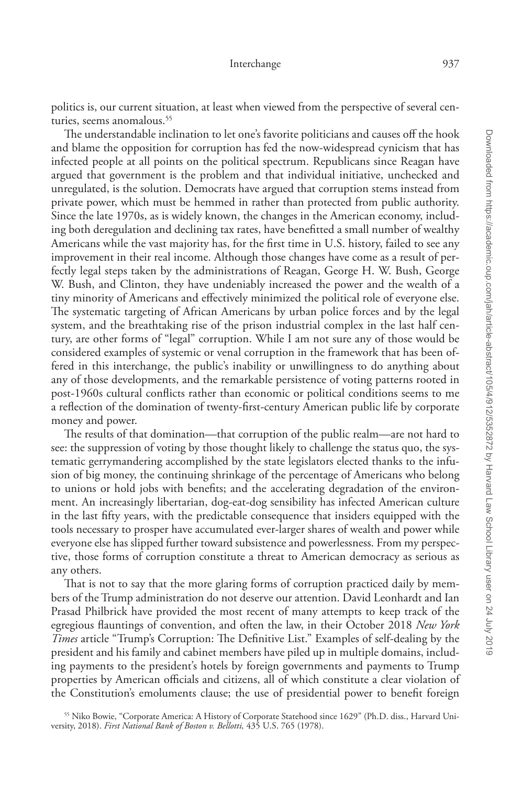politics is, our current situation, at least when viewed from the perspective of several centuries, seems anomalous.<sup>55</sup>

The understandable inclination to let one's favorite politicians and causes off the hook and blame the opposition for corruption has fed the now-widespread cynicism that has infected people at all points on the political spectrum. Republicans since Reagan have argued that government is the problem and that individual initiative, unchecked and unregulated, is the solution. Democrats have argued that corruption stems instead from private power, which must be hemmed in rather than protected from public authority. Since the late 1970s, as is widely known, the changes in the American economy, including both deregulation and declining tax rates, have benefitted a small number of wealthy Americans while the vast majority has, for the first time in U.S. history, failed to see any improvement in their real income. Although those changes have come as a result of perfectly legal steps taken by the administrations of Reagan, George H. W. Bush, George W. Bush, and Clinton, they have undeniably increased the power and the wealth of a tiny minority of Americans and effectively minimized the political role of everyone else. The systematic targeting of African Americans by urban police forces and by the legal system, and the breathtaking rise of the prison industrial complex in the last half century, are other forms of "legal" corruption. While I am not sure any of those would be considered examples of systemic or venal corruption in the framework that has been offered in this interchange, the public's inability or unwillingness to do anything about any of those developments, and the remarkable persistence of voting patterns rooted in post-1960s cultural conflicts rather than economic or political conditions seems to me a reflection of the domination of twenty-first-century American public life by corporate money and power.

The results of that domination—that corruption of the public realm—are not hard to see: the suppression of voting by those thought likely to challenge the status quo, the systematic gerrymandering accomplished by the state legislators elected thanks to the infusion of big money, the continuing shrinkage of the percentage of Americans who belong to unions or hold jobs with benefits; and the accelerating degradation of the environment. An increasingly libertarian, dog-eat-dog sensibility has infected American culture in the last fifty years, with the predictable consequence that insiders equipped with the tools necessary to prosper have accumulated ever-larger shares of wealth and power while everyone else has slipped further toward subsistence and powerlessness. From my perspective, those forms of corruption constitute a threat to American democracy as serious as any others.

That is not to say that the more glaring forms of corruption practiced daily by members of the Trump administration do not deserve our attention. David Leonhardt and Ian Prasad Philbrick have provided the most recent of many attempts to keep track of the egregious flauntings of convention, and often the law, in their October 2018 *New York Times* article "Trump's Corruption: The Definitive List." Examples of self-dealing by the president and his family and cabinet members have piled up in multiple domains, including payments to the president's hotels by foreign governments and payments to Trump properties by American officials and citizens, all of which constitute a clear violation of the Constitution's emoluments clause; the use of presidential power to benefit foreign

<sup>55</sup> Niko Bowie, "Corporate America: A History of Corporate Statehood since 1629" (Ph.D. diss., Harvard University, 2018). *First National Bank of Boston v. Bellotti,* 435 U.S. 765 (1978).